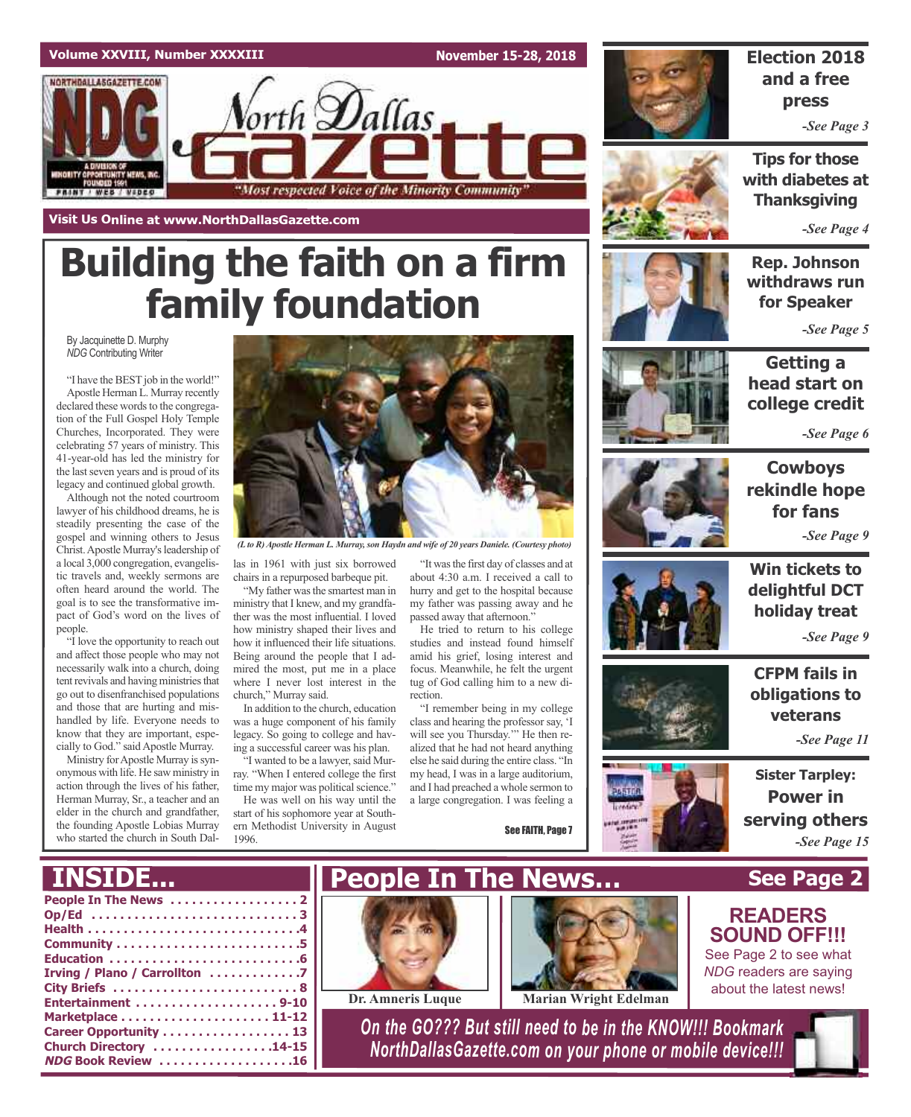### **Volume XXVIII, Number XXXXIII**

**November 15-28, 2018**





# **Building the faith on a firm family foundation**

By Jacquinette D. Murphy *NDG* Contributing Writer

"I have the BEST job in the world!" Apostle Herman L. Murray recently declared these words to the congregation of the Full Gospel Holy Temple Churches, Incorporated. They were celebrating 57 years of ministry. This 41-year-old has led the ministry for the last seven years and is proud of its legacy and continued global growth.

Although not the noted courtroom lawyer of his childhood dreams, he is steadily presenting the case of the gospel and winning others to Jesus Christ.Apostle Murray'sleadership of a local 3,000 congregation, evangelistic travels and, weekly sermons are often heard around the world. The goal is to see the transformative impact of God's word on the lives of people.

"I love the opportunity to reach out and affect those people who may not necessarily walk into a church, doing tent revivals and having ministries that go out to disenfranchised populations and those that are hurting and mishandled by life. Everyone needs to know that they are important, especially to God." said Apostle Murray.

Ministry for Apostle Murray is synonymous with life. He saw ministry in action through the lives of his father, Herman Murray, Sr., a teacher and an elder in the church and grandfather, the founding Apostle Lobias Murray who started the church in South Dal-



*(Lto R)Apostle Herman L. Murray,son Haydn and wife of 20 years Daniele. (Courtesy photo)*

las in 1961 with just six borrowed chairs in a repurposed barbeque pit.

"My father was the smartest man in ministry that I knew, and my grandfather was the most influential. I loved how ministry shaped their lives and how it influenced their life situations. Being around the people that I admired the most, put me in a place where I never lost interest in the church," Murray said.

In addition to the church, education was a huge component of his family legacy. So going to college and having a successful career was his plan. 'I wanted to be a lawyer, said Mur-

ray. "When I entered college the first time my major was political science."

He was well on his way until the start of his sophomore year at Southern Methodist University in August 1996.

"It wasthe first day of classes and at about 4:30 a.m. I received a call to hurry and get to the hospital because my father was passing away and he passed away that afternoon."

He tried to return to his college studies and instead found himself amid his grief, losing interest and focus. Meanwhile, he felt the urgent tug of God calling him to a new direction.

"I remember being in my college class and hearing the professor say, 'I will see you Thursday.'" He then realized that he had not heard anything else he said during the entire class. "In my head, I was in a large auditorium, and I had preached a whole sermon to a large congregation. I was feeling a

See FAITH, Page 7



### **Election 2018 and a free press**

*-See Page 3*

**Tips for those with diabetes at Thanksgiving**

*-See Page 4*

**Rep. Johnson withdraws run for Speaker**

*-See Page 5*



**Getting a head start on college credit**

*-See Page 6*



**Cowboys rekindle hope for fans** *-See Page 9*



**Than's TARASHI** 

**Win tickets to delightful DCT holiday treat**

*-See Page 9*

**CFPM fails in obligations to veterans**

*-See Page 11*

**Sister Tarpley: Power in serving others** *-See Page 15*

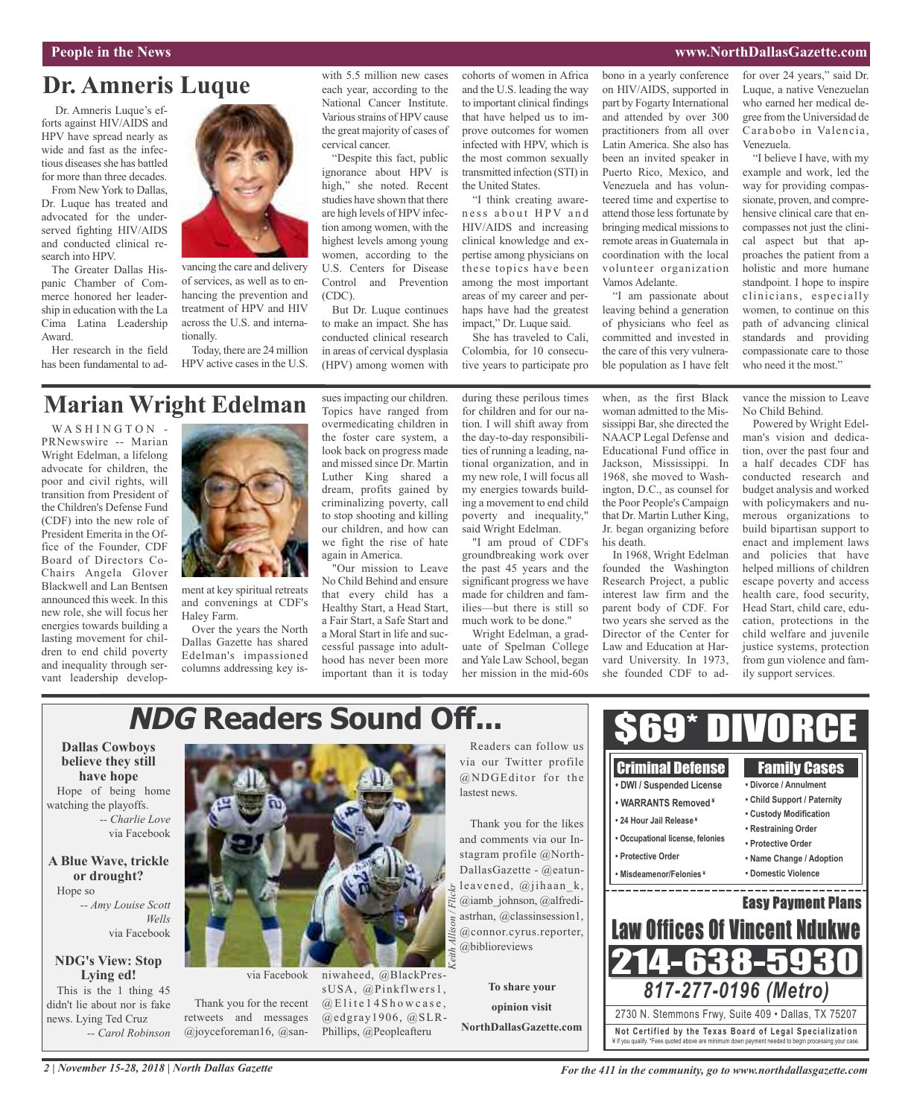#### **People in the News www.NorthDallasGazette.com**

### **Dr. Amneris Luque**

Dr. Amneris Luque's efforts against HIV/AIDS and HPV have spread nearly as wide and fast as the infectious diseases she has battled for more than three decades.

From New York to Dallas, Dr. Luque has treated and advocated for the underserved fighting HIV/AIDS and conducted clinical research into HPV.

The Greater Dallas Hispanic Chamber of Commerce honored her leadership in education with the La Cima Latina Leadership Award.

Her research in the field has been fundamental to ad-



vancing the care and delivery of services, as well as to enhancing the prevention and treatment of HPV and HIV across the U.S. and internationally.

Today, there are 24 million HPV active cases in the U.S.

with 5.5 million new cases each year, according to the National Cancer Institute. Various strains of HPV cause the great majority of cases of cervical cancer.

"Despite this fact, public ignorance about HPV is high," she noted. Recent studies have shown that there are high levels of HPV infection among women, with the highest levels among young women, according to the U.S. Centers for Disease Control and Prevention (CDC).

But Dr. Luque continues to make an impact. She has conducted clinical research in areas of cervical dysplasia (HPV) among women with

cohorts of women in Africa and the U.S. leading the way to important clinical findings that have helped us to improve outcomes for women infected with HPV, which is the most common sexually transmitted infection (STI) in the United States.

"I think creating awareness about HPV and HIV/AIDS and increasing clinical knowledge and expertise among physicians on these topics have been among the most important areas of my career and perhaps have had the greatest impact," Dr. Luque said.

She has traveled to Cali, Colombia, for 10 consecutive years to participate pro bono in a yearly conference on HIV/AIDS, supported in part by Fogarty International and attended by over 300 practitioners from all over Latin America. She also has been an invited speaker in Puerto Rico, Mexico, and Venezuela and has volunteered time and expertise to attend those less fortunate by bringing medical missions to remote areas in Guatemala in coordination with the local volunteer organization Vamos Adelante.

"I am passionate about leaving behind a generation of physicians who feel as committed and invested in the care of this very vulnerable population as I have felt

for over 24 years," said Dr. Luque, a native Venezuelan who earned her medical degree from the Universidad de Carabobo in Valencia, Venezuela.

"I believe I have, with my example and work, led the way for providing compassionate, proven, and comprehensive clinical care that encompasses not just the clinical aspect but that approaches the patient from a holistic and more humane standpoint. I hope to inspire clinicians, especially women, to continue on this path of advancing clinical standards and providing compassionate care to those who need it the most."

### **Marian Wright Edelman**

WASHINGTON PRNewswire -- Marian Wright Edelman, a lifelong advocate for children, the poor and civil rights, will transition from President of the Children's Defense Fund (CDF) into the new role of President Emerita in the Office of the Founder, CDF Board of Directors Co-Chairs Angela Glover Blackwell and Lan Bentsen announced this week. In this new role, she will focus her energies towards building a lasting movement for children to end child poverty and inequality through servant leadership develop-



ment at key spiritual retreats and convenings at CDF's Haley Farm.

Over the years the North Dallas Gazette has shared Edelman's impassioned columns addressing key issues impacting our children. Topics have ranged from overmedicating children in the foster care system, a look back on progress made and missed since Dr. Martin Luther King shared a dream, profits gained by criminalizing poverty, call to stop shooting and killing our children, and how can we fight the rise of hate again in America.

"Our mission to Leave No Child Behind and ensure that every child has a Healthy Start, a Head Start, a Fair Start, a Safe Start and a Moral Start in life and successful passage into adulthood has never been more important than it is today during these perilous times for children and for our nation. I will shift away from the day-to-day responsibilities of running a leading, national organization, and in my new role, I will focus all my energies towards building a movement to end child poverty and inequality," said Wright Edelman.

"I am proud of CDF's groundbreaking work over the past 45 years and the significant progress we have made for children and families—but there is still so much work to be done."

Wright Edelman, a graduate of Spelman College and Yale Law School, began her mission in the mid-60s

when, as the first Black woman admitted to the Mississippi Bar, she directed the NAACP Legal Defense and Educational Fund office in Jackson, Mississippi. In 1968, she moved to Washington, D.C., as counsel for the Poor People's Campaign that Dr. Martin Luther King, Jr. began organizing before his death.

In 1968, Wright Edelman founded the Washington Research Project, a public interest law firm and the parent body of CDF. For two years she served as the Director of the Center for Law and Education at Harvard University. In 1973, she founded CDF to advance the mission to Leave No Child Behind. Powered by Wright Edel-

man's vision and dedication, over the past four and a half decades CDF has conducted research and budget analysis and worked with policymakers and numerous organizations to build bipartisan support to enact and implement laws and policies that have helped millions of children escape poverty and access health care, food security, Head Start, child care, education, protections in the child welfare and juvenile justice systems, protection from gun violence and family support services.

#### **NDG Readers Sound Off...** \$69\* DIVORCE **Dallas Cowboys** Readers can follow us **believe they still** via our Twitter profile Criminal Defense Family Cases **have hope** @NDGEditor for the **• DWI / Suspended License • Divorce / Annulment** Hope of being home lastest news. **• Child Support / Paternity • WARRANTS Removed ¥** watching the playoffs. **• Custody Modification** *-- Charlie Love* **• 24 Hour Jail Release ¥** Thank you for the likes **• Restraining Order** via Facebook and comments via our In-**• Occupational license, felonies • Protective Order** stagram profile @North-**• Protective Order • Name Change / Adoption A Blue Wave, trickle** DallasGazette - @eatun-**• Misdeamenor/Felonies ¥ • Domestic Violence or drought?** leavened, @jihaan\_k, *Keith Allison / Flickr*. <u>. . . . . . . . . . . . . . . .</u> Hope so @iamb\_johnson, @alfredi-Easy Payment Plans *-- Amy Louise Scott* astrhan, @classinsession1, *Wells* **Law Offices Of Vincent Ndul** @connor.cyrus.reporter, via Facebook @biblioreviews 14-638-5 **NDG's View: Stop Lying ed!** via Facebook niwaheed, @BlackPres-*817-277-0196 (Metro)* **To share your** sUSA, @Pinkflwers1, This is the 1 thing 45 Thank you for the recent  $@E$  lite 14 Showcase, didn't lie about nor is fake **opinion visit** 2730 N. Stemmons Frwy, Suite 409 • Dallas, TX 75207 retweets and messages  $@$ edgray1906,  $@$ SLRnews. Lying Ted Cruz **NorthDallasGazette.com Not Ce rtified by the Te x a s Boa rd of Lega l Spe c ia l i za tion** @joyceforeman16, @san-Phillips, @Peopleafteru *-- Carol Robinson* ¥ If you qualify. \*Fees quoted above are minimum down payment needed to begin processing your case.

### *2 | November 15-28, 2018 | North Dallas Gazette*

*For the 411 in the community, go to www.northdallasgazette.com*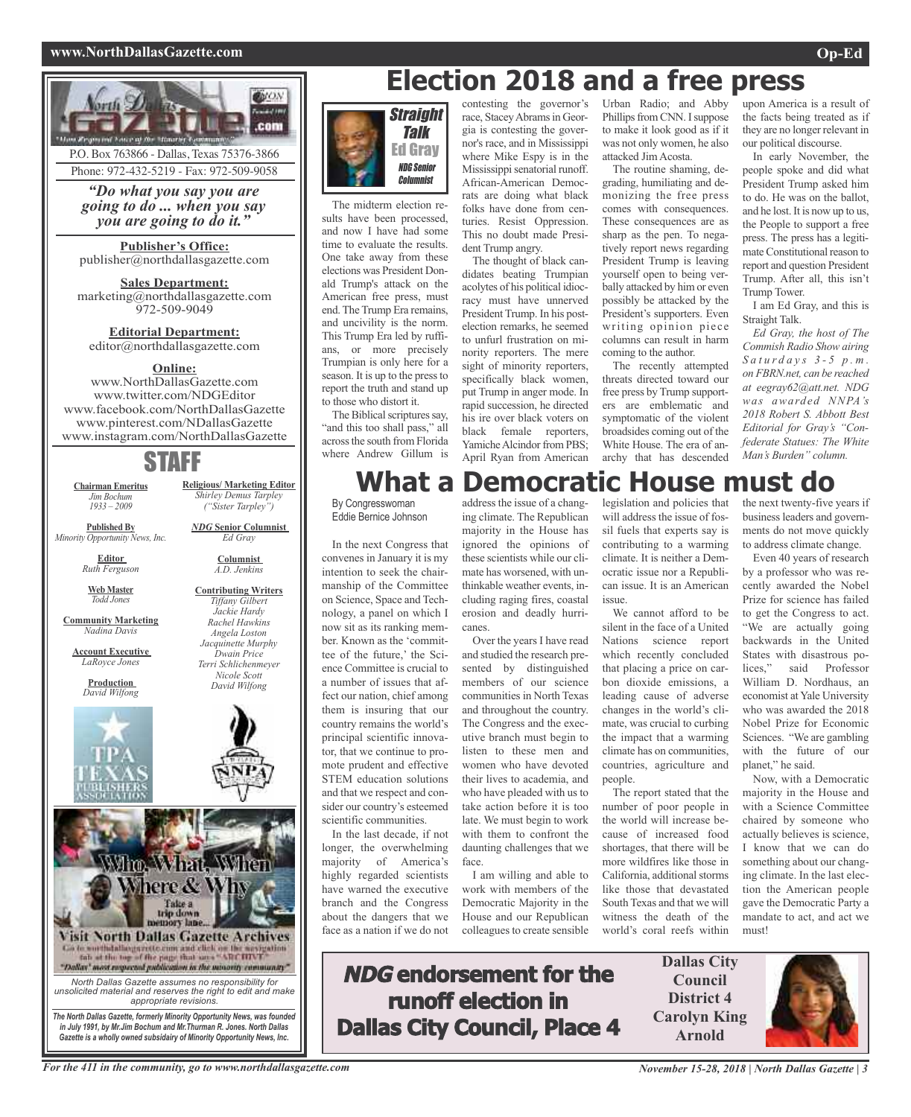#### **www.NorthDallasGazette.com Op-Ed**



Phone: 972-432-5219 - Fax: 972-509-9058

*"Do what you say you are going to do ... when you say you are going to do it."*

**Publisher's Office:** publisher@northdallasgazette.com

**Sales Department:** marketing@northdallasgazette.com 972-509-9049

**Editorial Department:** editor@northdallasgazette.com

### **Online:**

www.NorthDallasGazette.com www.twitter.com/NDGEditor www.facebook.com/NorthDallasGazette www.pinterest.com/NDallasGazette www.instagram.com/NorthDallasGazette

### STAFF

**Religious/ Marketing Editor** *Shirley Demus Tarpley ("Sister Tarpley") NDG* **Senior Columnist** *Ed Gray* **Columnist** *A.D. Jenkins* **Contributing Writers** *Tiffany Gilbert Jackie Hardy Rachel Hawkins Angela Loston Jacquinette Murphy Dwain Price Terri Schlichenmeyer Nicole Scott David Wilfong*

**Chairman Emeritus** *Jim Bochum 1933 – 2009*

**Published By** *Minority Opportunity News, Inc.*

> **Editor** *Ruth Ferguson*

**Web Master** *Todd Jones*

**Community Marketing** *Nadina Davis*

**Account Executive** *LaRoyce Jones*

> **Production** *David Wilfong*





*Gazette is a wholly owned subsidairy of Minority Opportunity News, Inc.*

*in July 1991, by Mr.Jim Bochum and Mr.Thurman R. Jones. North Dallas*



The midterm election results have been processed, and now I have had some time to evaluate the results. One take away from these elections was President Donald Trump's attack on the American free press, must end. The Trump Era remains, and uncivility is the norm. This Trump Era led by ruffians, or more precisely Trumpian is only here for a season. It is up to the pressto report the truth and stand up to those who distort it.

The Biblical scriptures say, "and this too shall pass," all acrossthe south from Florida where Andrew Gillum is

contesting the governor's race, Stacey Abrams in Georgia is contesting the governor's race, and in Mississippi where Mike Espy is in the Mississippi senatorial runoff. African-American Democrats are doing what black folks have done from centuries. Resist Oppression. This no doubt made President Trump angry.

The thought of black candidates beating Trumpian acolytes of his political idiocracy must have unnerved President Trump. In his postelection remarks, he seemed to unfurl frustration on minority reporters. The mere sight of minority reporters, specifically black women, put Trump in anger mode. In rapid succession, he directed his ire over black voters on black female reporters, Yamiche Alcindor from PBS; April Ryan from American

Urban Radio; and Abby Phillips from CNN. I suppose to make it look good as if it was not only women, he also attacked JimAcosta.

The routine shaming, degrading, humiliating and demonizing the free press comes with consequences. These consequences are as sharp as the pen. To negatively report news regarding President Trump is leaving yourself open to being verbally attacked by him or even possibly be attacked by the President's supporters. Even writing opinion piece columns can result in harm coming to the author.

The recently attempted threats directed toward our free press by Trump supporters are emblematic and symptomatic of the violent broadsides coming out of the White House. The era of anarchy that has descended

upon America is a result of the facts being treated as if they are no longer relevant in our political discourse.

In early November, the people spoke and did what President Trump asked him to do. He was on the ballot, and he lost. It is now up to us, the People to support a free press. The press has a legitimate Constitutional reason to report and question President Trump. After all, this isn't Trump Tower.

I am Ed Gray, and this is Straight Talk.

*Ed Gray, the host of The Commish Radio Show airing S a t u r d a y s 3 - 5 p . m . on FBRN.net, can be reached at eegray62@att.net. NDG was awarded NNPA's 2018 Robert S. Abbott Best Editorial for Gray's "Confederate Statues: The White Man's Burden" column.*

### **What a Democratic House must do**

In the next Congress that convenes in January it is my intention to seek the chairmanship of the Committee on Science, Space and Technology, a panel on which I now sit as its ranking member. Known as the 'committee of the future,' the Science Committee is crucial to a number of issues that affect our nation, chief among them is insuring that our country remains the world's principal scientific innovator, that we continue to promote prudent and effective STEM education solutions and that we respect and consider our country's esteemed scientific communities. In the last decade, if not

longer, the overwhelming majority of America's highly regarded scientists have warned the executive branch and the Congress about the dangers that we face as a nation if we do not

address the issue of a changing climate. The Republican majority in the House has ignored the opinions of these scientists while our climate has worsened, with unthinkable weather events, including raging fires, coastal erosion and deadly hurricanes.

Over the years I have read and studied the research presented by distinguished members of our science communities in North Texas and throughout the country. The Congress and the executive branch must begin to listen to these men and women who have devoted their lives to academia, and who have pleaded with us to take action before it is too late. We must begin to work with them to confront the daunting challenges that we face.

I am willing and able to work with members of the Democratic Majority in the House and our Republican colleagues to create sensible

legislation and policies that will address the issue of fossil fuels that experts say is contributing to a warming climate. It is neither a Democratic issue nor a Republican issue. It is an American issue.

We cannot afford to be silent in the face of a United Nations science report which recently concluded that placing a price on carbon dioxide emissions, a leading cause of adverse changes in the world's climate, was crucial to curbing the impact that a warming climate has on communities, countries, agriculture and people.

The report stated that the number of poor people in the world will increase because of increased food shortages, that there will be more wildfires like those in California, additional storms like those that devastated South Texas and that we will witness the death of the world's coral reefs within the next twenty-five years if businessleaders and governments do not move quickly to address climate change.

Even 40 years of research by a professor who was recently awarded the Nobel Prize for science has failed to get the Congress to act. "We are actually going backwards in the United States with disastrous polices," said Professor William D. Nordhaus, an economist at Yale University who was awarded the 2018 Nobel Prize for Economic Sciences. "We are gambling with the future of our planet," he said.

Now, with a Democratic majority in the House and with a Science Committee chaired by someone who actually believes is science, I know that we can do something about our changing climate. In the last election the American people gave the Democratic Party a mandate to act, and act we must!

**Dallas City Council District 4 Carolyn King Arnold**



**NDG endorsement for the runoff election in Dallas City Council, Place 4**

By Congresswoman Eddie Bernice Johnson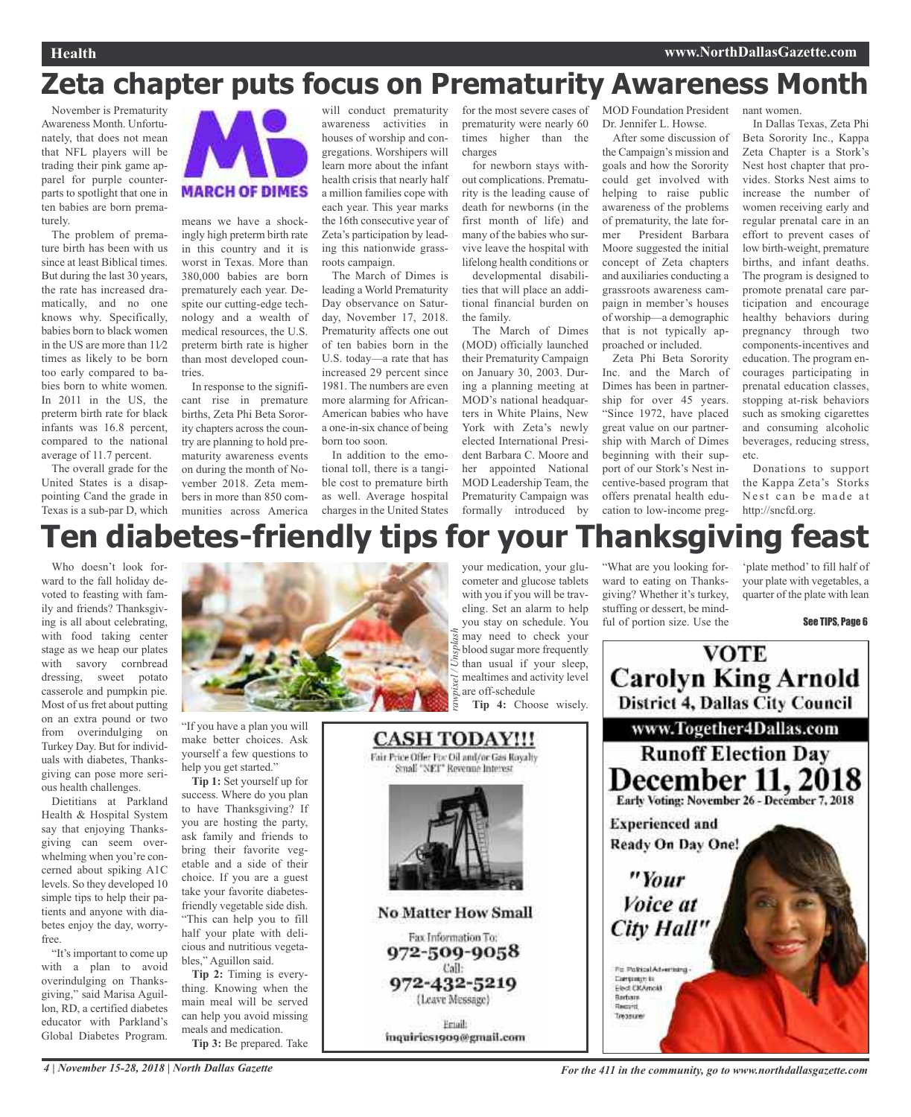nant women.

### **Zeta chapter puts focus on Prematurity Awareness Month**

November is Prematurity Awareness Month. Unfortunately, that does not mean that NFL players will be trading their pink game apparel for purple counterparts to spotlight that one in ten babies are born prematurely.

The problem of premature birth has been with us since at least Biblical times. But during the last 30 years, the rate has increased dramatically, and no one knows why. Specifically, babies born to black women in the US are more than  $11/2$ times as likely to be born too early compared to babies born to white women. In 2011 in the US, the preterm birth rate for black infants was 16.8 percent, compared to the national average of 11.7 percent.

The overall grade for the United States is a disappointing Cand the grade in Texas is a sub-par D, which



means we have a shockingly high preterm birth rate in this country and it is worst in Texas. More than 380,000 babies are born prematurely each year. Despite our cutting-edge technology and a wealth of medical resources, the U.S. preterm birth rate is higher than most developed countries.

In response to the significant rise in premature births, Zeta Phi Beta Sorority chapters across the country are planning to hold prematurity awareness events on during the month of November 2018. Zeta members in more than 850 communities across America charges in the United States

will conduct prematurity awareness activities in houses of worship and congregations. Worshipers will learn more about the infant health crisis that nearly half a million families cope with each year. This year marks the 16th consecutive year of Zeta's participation by leading this nationwide grassroots campaign.

The March of Dimes is leading a World Prematurity Day observance on Saturday, November 17, 2018. Prematurity affects one out of ten babies born in the U.S. today—a rate that has increased 29 percent since 1981. The numbers are even more alarming for African-American babies who have a one-in-six chance of being born too soon.

In addition to the emotional toll, there is a tangible cost to premature birth as well. Average hospital for the most severe cases of prematurity were nearly 60 times higher than the charges

for newborn stays without complications. Prematurity is the leading cause of death for newborns (in the first month of life) and many of the babies who survive leave the hospital with lifelong health conditions or developmental disabili-

ties that will place an additional financial burden on the family.

The March of Dimes (MOD) officially launched their Prematurity Campaign on January 30, 2003. During a planning meeting at MOD's national headquarters in White Plains, New York with Zeta's newly elected International President Barbara C. Moore and her appointed National MOD Leadership Team, the Prematurity Campaign was formally introduced by

MOD Foundation President Dr. Jennifer L. Howse.

After some discussion of the Campaign's mission and goals and how the Sorority could get involved with helping to raise public awareness of the problems of prematurity, the late former President Barbara Moore suggested the initial concept of Zeta chapters and auxiliaries conducting a grassroots awareness campaign in member's houses of worship—a demographic that is not typically approached or included.

Zeta Phi Beta Sorority Inc. and the March of Dimes has been in partnership for over 45 years. "Since 1972, have placed great value on our partnership with March of Dimes beginning with their support of our Stork's Nest incentive-based program that offers prenatal health education to low-income preg-

"What are you looking forward to eating on Thanksgiving? Whether it's turkey, stuffing or dessert, be mind-

In Dallas Texas, Zeta Phi Beta Sorority Inc., Kappa Zeta Chapter is a Stork's Nest host chapter that provides. Storks Nest aims to increase the number of women receiving early and regular prenatal care in an effort to prevent cases of low birth-weight, premature births, and infant deaths. The program is designed to promote prenatal care participation and encourage healthy behaviors during pregnancy through two components-incentives and education. The program encourages participating in prenatal education classes, stopping at-risk behaviors such as smoking cigarettes and consuming alcoholic beverages, reducing stress, etc.

Donations to support the Kappa Zeta's Storks Nest can be made at http://sncfd.org.

## **Ten diabetes-friendly tips for your Thanksgiving feast**

**CASH TODAY!!!** 

Fair Price Offer For Oil and/or Gas Royalty Small "NET" Revenue Interest

**No Matter How Small** 

Fax Information To: 972-509-9058 Call:

972-432-5219 (Leave Message)

Friall: inquiries1909@gmail.com

Who doesn't look forward to the fall holiday devoted to feasting with family and friends? Thanksgiving is all about celebrating, with food taking center stage as we heap our plates with savory cornbread dressing, sweet potato casserole and pumpkin pie. Most of us fret about putting on an extra pound or two from overindulging on Turkey Day. But for individuals with diabetes, Thanksgiving can pose more serious health challenges.

Dietitians at Parkland Health & Hospital System say that enjoying Thanksgiving can seem overwhelming when you're concerned about spiking A1C levels. So they developed 10 simple tips to help their patients and anyone with diabetes enjoy the day, worryfree.

"It'simportant to come up with a plan to avoid overindulging on Thanksgiving," said Marisa Aguillon, RD, a certified diabetes educator with Parkland's Global Diabetes Program.



"If you have a plan you will make better choices. Ask yourself a few questions to help you get started."

**Tip 1:** Set yourself up for success. Where do you plan to have Thanksgiving? If you are hosting the party, ask family and friends to bring their favorite vegetable and a side of their choice. If you are a guest take your favorite diabetesfriendly vegetable side dish. "This can help you to fill half your plate with delicious and nutritious vegetables," Aguillon said.

**Tip 2:** Timing is everything. Knowing when the main meal will be served can help you avoid missing meals and medication.

**Tip 3:** Be prepared. Take

your medication, your glucometer and glucose tablets with you if you will be traveling. Set an alarm to help you stay on schedule. You may need to check your blood sugar more frequently than usual if your sleep, mealtimes and activity level are off-schedule **Tip 4:** Choose wisely. *rawpixel / Unsplash*

ful of portion size. Use the

'plate method' to fill half of your plate with vegetables, a quarter of the plate with lean

#### See TIPS, Page 6



4 | November 15-28, 2018 | North Dallas Gazette com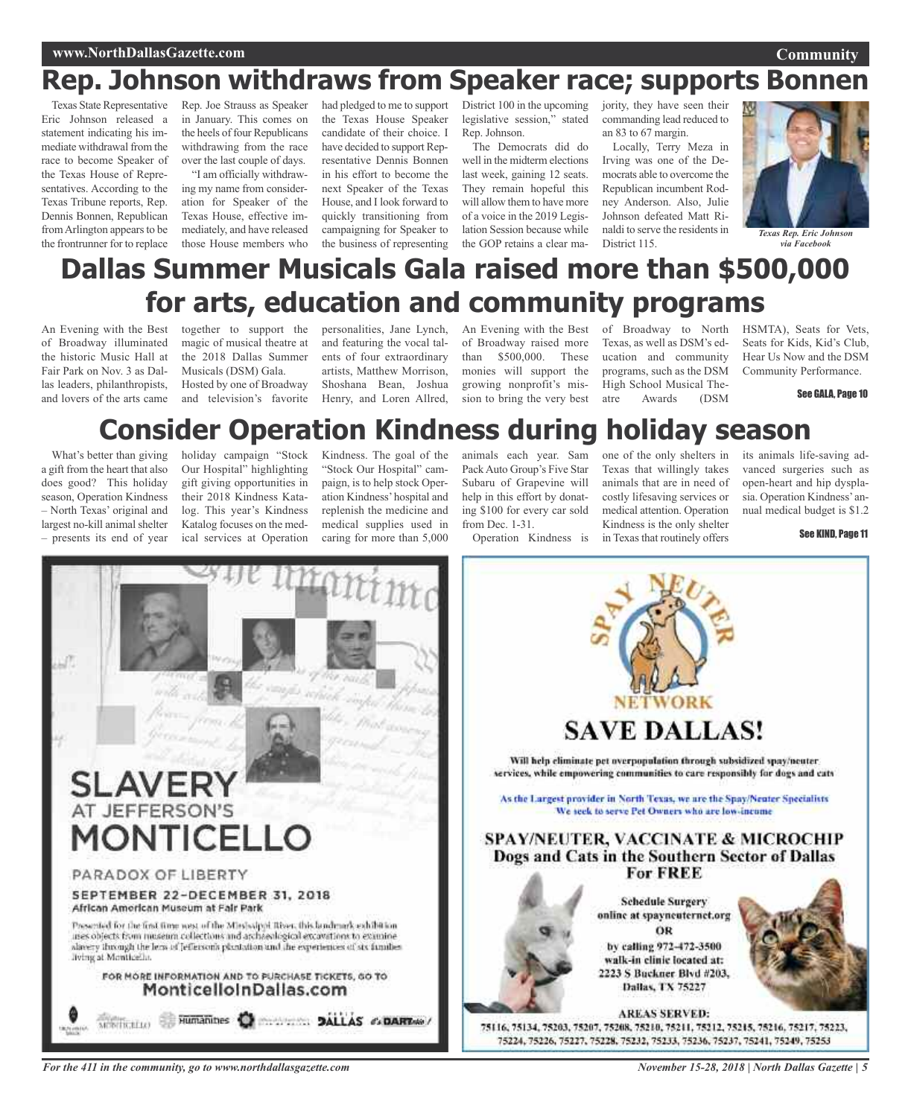### **Rep. Johnson withdraws from Speaker race; supports Bonne**

Texas State Representative Eric Johnson released a statement indicating his immediate withdrawal from the race to become Speaker of the Texas House of Representatives. According to the Texas Tribune reports, Rep. Dennis Bonnen, Republican from Arlington appears to be the frontrunner for to replace

Rep. Joe Strauss as Speaker in January. This comes on the heels of four Republicans withdrawing from the race over the last couple of days.

"I am officially withdrawing my name from consideration for Speaker of the Texas House, effective immediately, and have released those House members who

had pledged to me to support the Texas House Speaker candidate of their choice. I have decided to support Representative Dennis Bonnen in his effort to become the next Speaker of the Texas House, and I look forward to quickly transitioning from campaigning for Speaker to the business of representing

District 100 in the upcoming legislative session," stated Rep. Johnson.

The Democrats did do well in the midterm elections last week, gaining 12 seats. They remain hopeful this will allow them to have more of a voice in the 2019 Legislation Session because while the GOP retains a clear majority, they have seen their commanding lead reduced to an 83 to 67 margin.

Locally, Terry Meza in Irving was one of the Democrats able to overcome the Republican incumbent Rodney Anderson. Also, Julie Johnson defeated Matt Rinaldi to serve the residents in naidi to serve the residents in *Texas Rep. Eric Johnso*<br>District 115. *via Facebook* 



*via Facebook*

### **Dallas Summer Musicals Gala raised more than \$500,000 for arts, education and community programs**

An Evening with the Best of Broadway illuminated the historic Music Hall at Fair Park on Nov. 3 as Dallas leaders, philanthropists, and lovers of the arts came

together to support the magic of musical theatre at the 2018 Dallas Summer Musicals (DSM) Gala. Hosted by one of Broadway and television's favorite

personalities, Jane Lynch, and featuring the vocal talents of four extraordinary artists, Matthew Morrison, Shoshana Bean, Joshua Henry, and Loren Allred,

An Evening with the Best of Broadway raised more than \$500,000. These monies will support the growing nonprofit's mission to bring the very best

of Broadway to North Texas, as well as DSM's education and community programs, such as the DSM High School Musical Theatre Awards (DSM

HSMTA), Seats for Vets, Seats for Kids, Kid's Club, Hear Us Now and the DSM Community Performance.

See GALA, Page 10

### **Consider Operation Kindness during holiday season**

What's better than giving a gift from the heart that also does good? This holiday season, Operation Kindness – North Texas' original and largest no-kill animal shelter – presents its end of year

holiday campaign "Stock Our Hospital" highlighting gift giving opportunities in their 2018 Kindness Katalog. This year's Kindness Katalog focuses on the medical services at Operation

Kindness. The goal of the "Stock Our Hospital" campaign, is to help stock Operation Kindness'hospital and replenish the medicine and medical supplies used in caring for more than 5,000

animals each year. Sam PackAuto Group's Five Star Subaru of Grapevine will help in this effort by donating \$100 for every car sold from Dec. 1-31.

Operation Kindness is

one of the only shelters in Texas that willingly takes animals that are in need of costly lifesaving services or medical attention. Operation Kindness is the only shelter in Texas that routinely offers

its animals life-saving advanced surgeries such as open-heart and hip dysplasia. Operation Kindness' annual medical budget is \$1.2

See KIND, Page 11



**SAVE DALLAS!** Will help eliminate pet overpopulation through subsidized spay/neuter services, while empowering communities to care responsibly for dogs and cats As the Largest provider in North Texas, we are the Spay/Neuter Specialists We seek to serve Pet Owners who are low-income **SPAY/NEUTER, VACCINATE & MICROCHIP** Dogs and Cats in the Southern Sector of Dallas **For FREE Schedule Surgery** online at spayneuternet.org

ÖR by calling 972-472-3500 walk-in clinic located at: 2223 S Buckner Blvd #203, Dallas, TX 75227



**AREAS SERVED:** 75116, 75134, 75203, 75207, 75208, 75210, 75211, 75212, 75215, 75216, 75217, 75223, 75224, 75226, 75227, 75228, 75232, 75233, 75236, 75237, 75241, 75249, 75253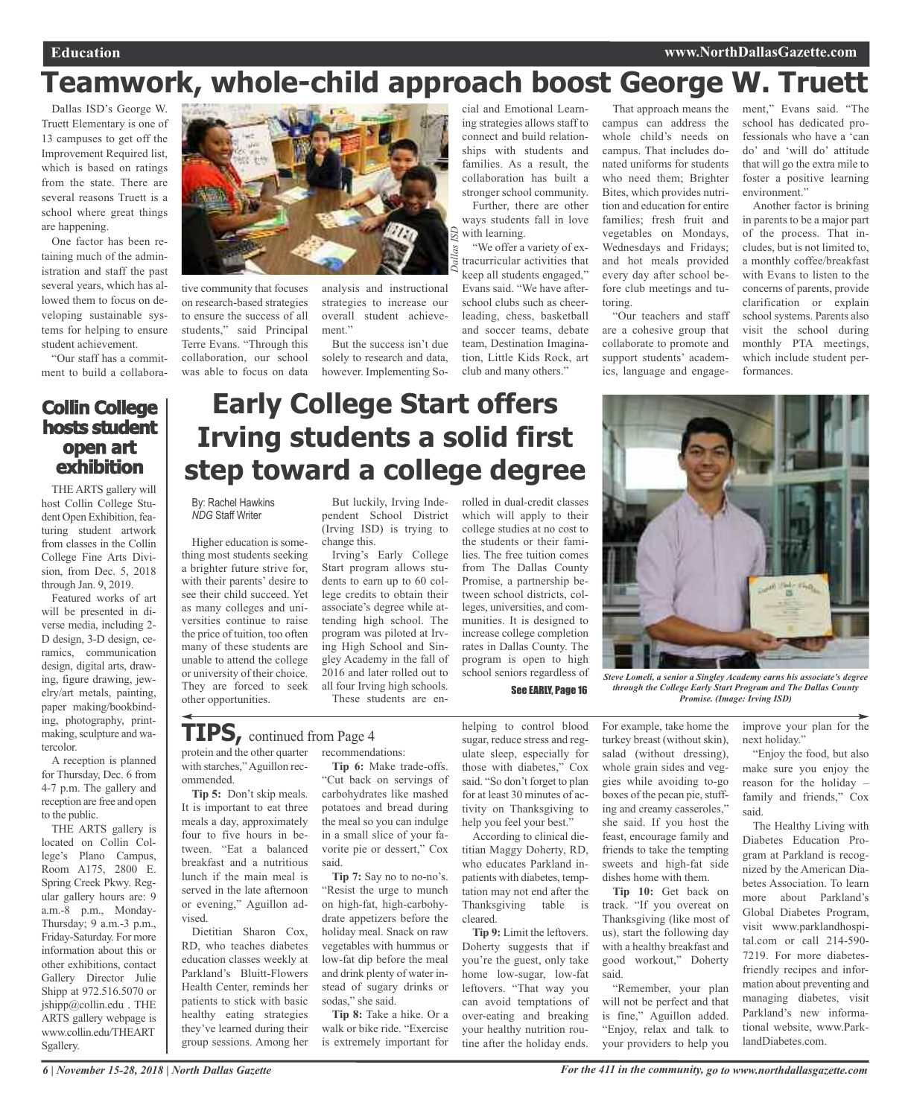## **Teamwork, whole-child approach boost George W. Truett**

Dallas ISD's George W. Truett Elementary is one of 13 campuses to get off the Improvement Required list, which is based on ratings from the state. There are several reasons Truett is a school where great things are happening.

One factor has been retaining much of the administration and staff the past several years, which has allowed them to focus on developing sustainable systems for helping to ensure student achievement.

"Our staff has a commitment to build a collabora-

### **Collin College hosts student open art exhibition**

THE ARTS gallery will host Collin College Student Open Exhibition, featuring student artwork from classes in the Collin College Fine Arts Division, from Dec. 5, 2018 through Jan. 9, 2019.

Featured works of art will be presented in diverse media, including 2- D design, 3-D design, ceramics, communication design, digital arts, drawing, figure drawing, jewelry/art metals, painting, paper making/bookbinding, photography, printmaking, sculpture and watercolor.

A reception is planned for Thursday, Dec. 6 from 4-7 p.m. The gallery and reception are free and open to the public.

THE ARTS gallery is located on Collin College's Plano Campus, Room A175, 2800 E. Spring Creek Pkwy. Regular gallery hours are: 9 a.m.-8 p.m., Monday-Thursday; 9 a.m.-3 p.m., Friday-Saturday. For more information about this or other exhibitions, contact Gallery Director Julie Shipp at 972.516.5070 or jshipp@collin.edu . THE ARTS gallery webpage is www.collin.edu/THEART Sgallery.



tive community that focuses on research-based strategies to ensure the success of all students," said Principal Terre Evans. "Through this collaboration, our school was able to focus on data

analysis and instructional strategies to increase our overall student achievement."

But the success isn't due solely to research and data, however. Implementing So-

cial and Emotional Learning strategies allows staff to connect and build relationships with students and families. As a result, the collaboration has built a stronger school community.

*Dallas ISD* Further, there are other ways students fall in love with learning.

"We offer a variety of extracurricular activities that keep all students engaged," Evans said. "We have afterschool clubs such as cheerleading, chess, basketball and soccer teams, debate team, Destination Imagination, Little Kids Rock, art club and many others."

That approach means the campus can address the whole child's needs on campus. That includes donated uniforms for students who need them; Brighter Bites, which provides nutrition and education for entire families; fresh fruit and vegetables on Mondays, Wednesdays and Fridays; and hot meals provided every day after school before club meetings and tutoring.

"Our teachers and staff are a cohesive group that collaborate to promote and support students' academics, language and engage-

ment," Evans said. "The school has dedicated professionals who have a 'can do' and 'will do' attitude that will go the extra mile to foster a positive learning environment."

Another factor is brining in parents to be a major part of the process. That includes, but is not limited to, a monthly coffee/breakfast with Evans to listen to the concerns of parents, provide clarification or explain school systems. Parents also visit the school during monthly PTA meetings, which include student performances.

### **Early College Start offers Irving students a solid first step toward a college degree**

By: Rachel Hawkins *NDG* Staff Writer

Higher education is something most students seeking a brighter future strive for, with their parents' desire to see their child succeed. Yet as many colleges and universities continue to raise the price of tuition, too often many of these students are unable to attend the college or university of their choice. They are forced to seek other opportunities.

But luckily, Irving Independent School District (Irving ISD) is trying to change this.

Irving's Early College Start program allows students to earn up to 60 college credits to obtain their associate's degree while attending high school. The program was piloted at Irving High School and Singley Academy in the fall of 2016 and later rolled out to all four Irving high schools. These students are enrolled in dual-credit classes which will apply to their college studies at no cost to the students or their families. The free tuition comes from The Dallas County Promise, a partnership between school districts, colleges, universities, and communities. It is designed to increase college completion rates in Dallas County. The program is open to high

See EARLY, Page 16



school seniors regardless of *Steve Lomeli, <sup>a</sup> senior <sup>a</sup> Singley Academy earns his associate's degree through the College Early Start Program and The Dallas County Promise. (Image: Irving ISD)*

#### protein and the other quarter recommendations: **TIPS,** continued from Page <sup>4</sup>

with starches,"Aguillon recommended.

**Tip 5:** Don't skip meals. It is important to eat three meals a day, approximately four to five hours in between. "Eat a balanced breakfast and a nutritious lunch if the main meal is served in the late afternoon or evening," Aguillon advised.

Dietitian Sharon Cox, RD, who teaches diabetes education classes weekly at Parkland's Bluitt-Flowers Health Center, reminds her patients to stick with basic healthy eating strategies they've learned during their group sessions. Among her

**Tip 6:** Make trade-offs. "Cut back on servings of carbohydrates like mashed potatoes and bread during the meal so you can indulge in a small slice of your favorite pie or dessert," Cox said.

**Tip 7:** Say no to no-no's. "Resist the urge to munch on high-fat, high-carbohydrate appetizers before the holiday meal. Snack on raw vegetables with hummus or low-fat dip before the meal and drink plenty of water instead of sugary drinks or sodas," she said.

**Tip 8:** Take a hike. Or a walk or bike ride. "Exercise is extremely important for

helping to control blood sugar, reduce stress and regulate sleep, especially for those with diabetes," Cox said. "So don't forget to plan for at least 30 minutes of activity on Thanksgiving to help you feel your best."

According to clinical dietitian Maggy Doherty, RD, who educates Parkland inpatients with diabetes, temptation may not end after the Thanksgiving table is cleared.

**Tip 9:** Limit the leftovers. Doherty suggests that if you're the guest, only take home low-sugar, low-fat leftovers. "That way you can avoid temptations of over-eating and breaking your healthy nutrition routine after the holiday ends.

For example, take home the turkey breast (without skin), salad (without dressing), whole grain sides and veggies while avoiding to-go boxes of the pecan pie, stuffing and creamy casseroles," she said. If you host the feast, encourage family and friends to take the tempting sweets and high-fat side dishes home with them.

**Tip 10:** Get back on track. "If you overeat on Thanksgiving (like most of us), start the following day with a healthy breakfast and good workout," Doherty said.

"Remember, your plan will not be perfect and that is fine," Aguillon added. "Enjoy, relax and talk to your providers to help you

improve your plan for the next holiday."

"Enjoy the food, but also make sure you enjoy the reason for the holiday – family and friends," Cox said.

The Healthy Living with Diabetes Education Program at Parkland is recognized by the American Diabetes Association. To learn more about Parkland's Global Diabetes Program, visit www.parklandhospital.com or call 214-590- 7219. For more diabetesfriendly recipes and information about preventing and managing diabetes, visit Parkland's new informational website, www.ParklandDiabetes.com.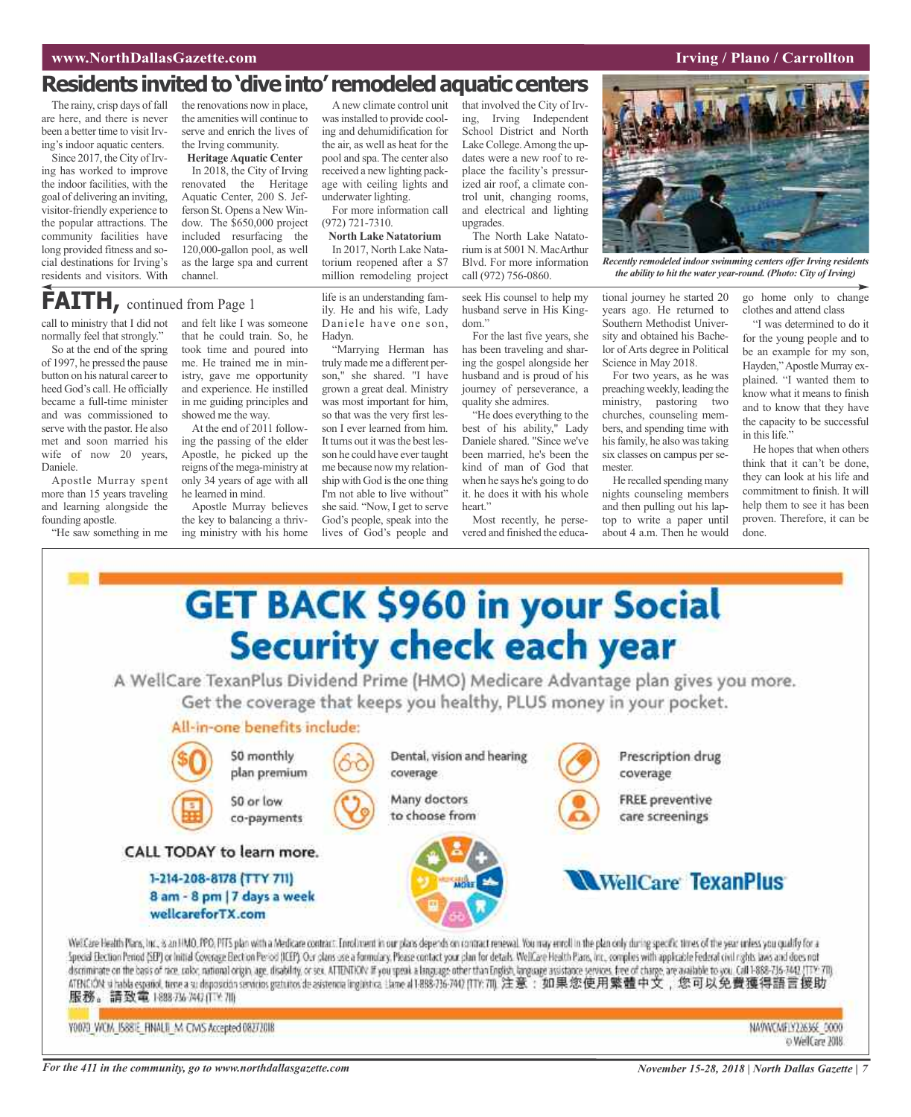### **www.NorthDallasGazette.com Irving** / **Plano** / **Carrollton**

### Residents invited to 'dive into' remodeled aquatic centers

The rainy, crisp days of fall are here, and there is never been a better time to visit Irving's indoor aquatic centers.

Since 2017, the City of Irving has worked to improve the indoor facilities, with the goal of delivering an inviting, visitor-friendly experience to the popular attractions. The community facilities have long provided fitness and social destinations for Irving's residents and visitors. With

the renovations now in place, the amenities will continue to serve and enrich the lives of the Irving community.

**Heritage Aquatic Center** In 2018, the City of Irving renovated the Heritage Aquatic Center, 200 S. Jefferson St. Opens a NewWindow. The \$650,000 project included resurfacing the 120,000-gallon pool, as well as the large spa and current

### **FAITH**, continued from Page 1

call to ministry that I did not normally feel that strongly."

So at the end of the spring of 1997, he pressed the pause button on his natural career to heed God's call. He officially became a full-time minister and was commissioned to serve with the pastor. He also met and soon married his wife of now 20 years, Daniele.

Apostle Murray spent more than 15 years traveling and learning alongside the founding apostle.

"He saw something in me



showed me the way. At the end of 2011 following the passing of the elder Apostle, he picked up the reigns of the mega-ministry at only 34 years of age with all he learned in mind.

Apostle Murray believes the key to balancing a thriving ministry with his home

Anew climate control unit was installed to provide cooling and dehumidification for the air, as well as heat for the pool and spa. The center also received a new lighting package with ceiling lights and underwater lighting.

For more information call (972) 721-7310.

**North Lake Natatorium** In 2017, North Lake Natatorium reopened after a \$7 million remodeling project

life is an understanding family. He and his wife, Lady Daniele have one son, Hadyn.

"Marrying Herman has truly made me a different person," she shared. "I have grown a great deal. Ministry was most important for him, so that was the very first lesson I ever learned from him. It turns out it was the best lesson he could have ever taught me because now my relationship with God is the one thing I'm not able to live without" she said. "Now, I get to serve God's people, speak into the lives of God's people and

that involved the City of Irving, Irving Independent School District and North Lake College. Among the updates were a new roof to replace the facility's pressurized air roof, a climate control unit, changing rooms, and electrical and lighting upgrades.

The North Lake Natatorium is at 5001 N. MacArthur Blvd. For more information call (972) 756-0860.

seek His counsel to help my husband serve in His Kingdom."

For the last five years, she has been traveling and sharing the gospel alongside her husband and is proud of his journey of perseverance, a quality she admires.

"He does everything to the best of his ability," Lady Daniele shared. "Since we've been married, he's been the kind of man of God that when he says he's going to do it. he does it with his whole heart"

Most recently, he persevered and finished the educa-



*Recently remodeled indoorswimming centers offerIrving residents the ability to hit the water year-round. (Photo: City ofIrving)*

tional journey he started 20 years ago. He returned to Southern Methodist University and obtained his Bachelor of Arts degree in Political Science in May 2018.

For two years, as he was preaching weekly, leading the ministry, pastoring two churches, counseling members, and spending time with his family, he also was taking six classes on campus per semester.

He recalled spending many nights counseling members and then pulling out his laptop to write a paper until about 4 a.m. Then he would

go home only to change clothes and attend class

"I was determined to do it for the young people and to be an example for my son, Hayden,"Apostle Murray explained. "I wanted them to know what it means to finish and to know that they have the capacity to be successful in this life."

He hopes that when others think that it can't be done, they can look at his life and commitment to finish. It will help them to see it has been proven. Therefore, it can be done.



Y0073 WCM IS881E FINALS M CMS Accepted 08272018

NA9WCA#1Y22636E 0000 o WelCare 2018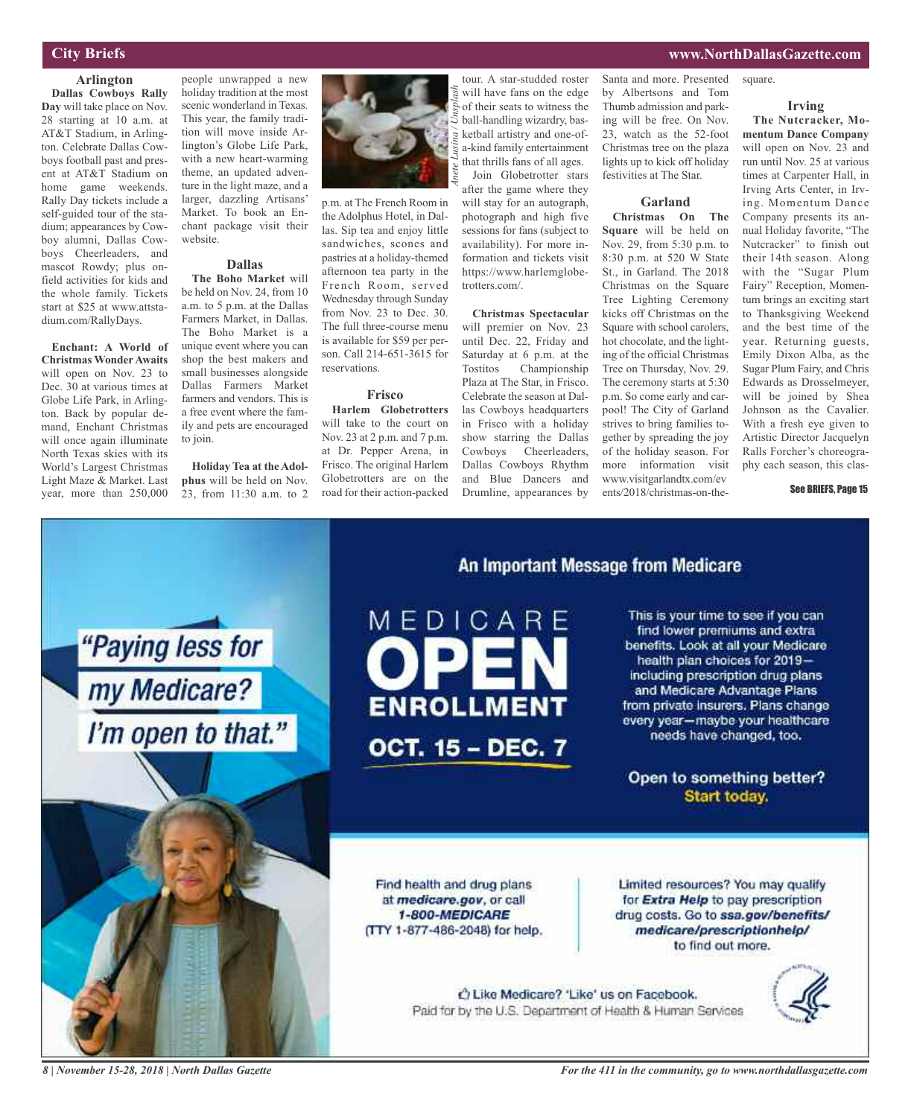### **City Briefs**

#### **Arlington**

**Dallas Cowboys Rally Day** will take place on Nov. 28 starting at 10 a.m. at AT&T Stadium, in Arlington. Celebrate Dallas Cowboys football past and present at AT&T Stadium on home game weekends. Rally Day tickets include a self-guided tour of the stadium; appearances by Cowboy alumni, Dallas Cowboys Cheerleaders, and mascot Rowdy; plus onfield activities for kids and the whole family. Tickets start at \$25 at www.attstadium.com/RallyDays.

**Enchant: A World of Christmas WonderAwaits** will open on Nov. 23 to Dec. 30 at various times at Globe Life Park, in Arlington. Back by popular demand, Enchant Christmas will once again illuminate North Texas skies with its World's Largest Christmas Light Maze & Market. Last year, more than 250,000

people unwrapped a new holiday tradition at the most scenic wonderland in Texas. This year, the family tradition will move inside Arlington's Globe Life Park, with a new heart-warming theme, an updated adventure in the light maze, and a larger, dazzling Artisans' Market. To book an Enchant package visit their website.

#### **Dallas**

**The Boho Market** will be held on Nov. 24, from 10 a.m. to 5 p.m. at the Dallas Farmers Market, in Dallas. The Boho Market is a unique event where you can shop the best makers and small businesses alongside Dallas Farmers Market farmers and vendors. This is a free event where the family and pets are encouraged to join.

**Holiday Tea at the Adolphus** will be held on Nov. 23, from 11:30 a.m. to 2



p.m. at The French Room in the Adolphus Hotel, in Dallas. Sip tea and enjoy little sandwiches, scones and pastries at a holiday-themed afternoon tea party in the French Room, served Wednesday through Sunday from Nov. 23 to Dec. 30. The full three-course menu is available for \$59 per person. Call 214-651-3615 for reservations.

#### **Frisco**

**Harlem Globetrotters** will take to the court on Nov. 23 at 2 p.m. and 7 p.m. at Dr. Pepper Arena, in Frisco. The original Harlem Globetrotters are on the road for their action-packed

tour. A star-studded roster will have fans on the edge of their seats to witness the ball-handling wizardry, basketball artistry and one-ofa-kind family entertainment that thrills fans of all ages. Join Globetrotter stars after the game where they will stay for an autograph, photograph and high five

sessions for fans (subject to availability). For more information and tickets visit https://www.harlemglobetrotters.com/.

#### **Christmas Spectacular** will premier on Nov. 23 until Dec. 22, Friday and Saturday at 6 p.m. at the Tostitos Championship Plaza at The Star, in Frisco. Celebrate the season at Dallas Cowboys headquarters in Frisco with a holiday show starring the Dallas Cowboys Cheerleaders, Dallas Cowboys Rhythm and Blue Dancers and Drumline, appearances by

Santa and more. Presented by Albertsons and Tom Thumb admission and parking will be free. On Nov. 23, watch as the 52-foot Christmas tree on the plaza lights up to kick off holiday festivities at The Star.

### **Garland**

**Christmas On The Square** will be held on Nov. 29, from 5:30 p.m. to 8:30 p.m. at 520 W State St., in Garland. The 2018 Christmas on the Square Tree Lighting Ceremony kicks off Christmas on the Square with school carolers, hot chocolate, and the lighting of the official Christmas Tree on Thursday, Nov. 29. The ceremony starts at 5:30 p.m. So come early and carpool! The City of Garland strives to bring families together by spreading the joy of the holiday season. For more information visit www.visitgarlandtx.com/ev ents/2018/christmas-on-thesquare.

**www.NorthDallasGazette.com**

### **Irving**

**The Nutcracker, Momentum Dance Company** will open on Nov. 23 and run until Nov. 25 at various times at Carpenter Hall, in Irving Arts Center, in Irving. Momentum Dance Company presents its annual Holiday favorite, "The Nutcracker" to finish out their 14th season. Along with the "Sugar Plum Fairy" Reception, Momentum brings an exciting start to Thanksgiving Weekend and the best time of the year. Returning guests, Emily Dixon Alba, as the Sugar Plum Fairy, and Chris Edwards as Drosselmeyer, will be joined by Shea Johnson as the Cavalier. With a fresh eye given to Artistic Director Jacquelyn Ralls Forcher's choreography each season, this clas-

#### See BRIEFS, Page 15



*8 | November 15-28, 2018 | North Dallas Gazette*

*For the 411 in the community, go to www.northdallasgazette.com*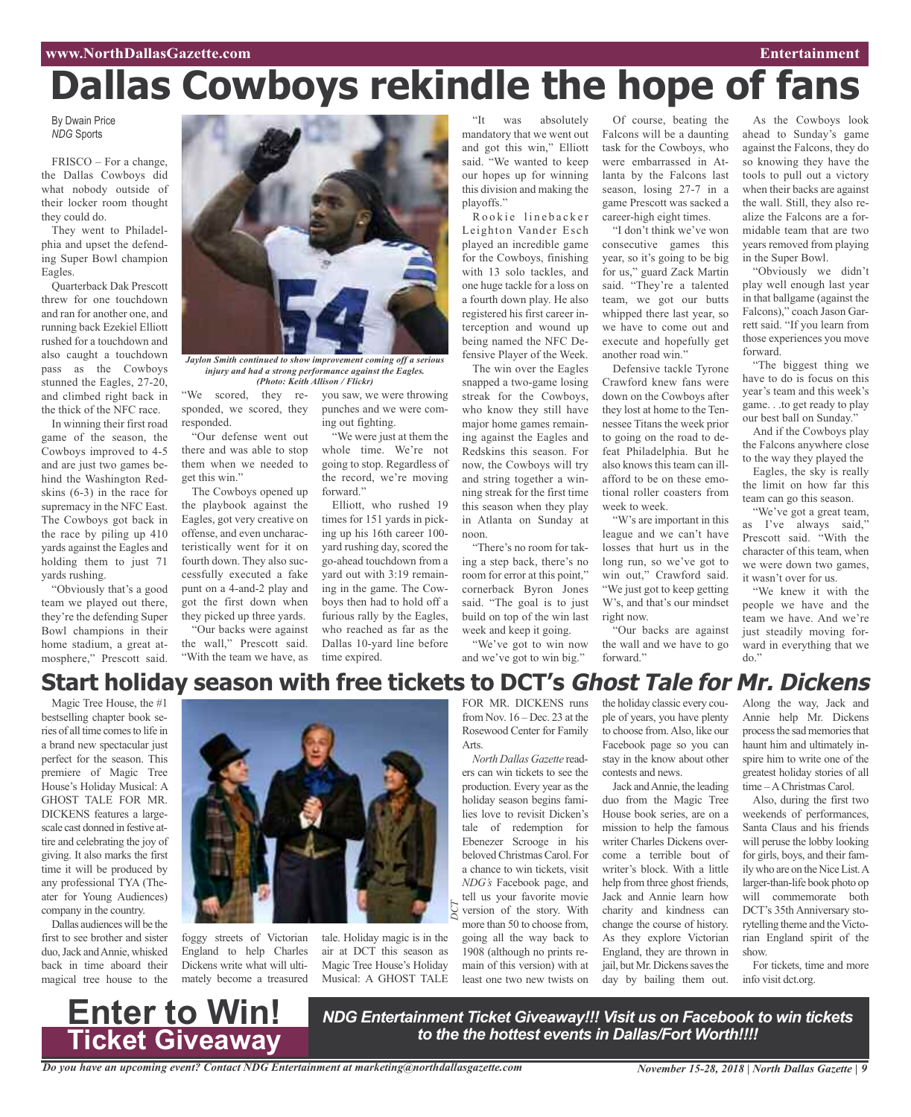# **Dallas Cowboys rekindle the hope of fans**

By Dwain Price *NDG* Sports

FRISCO – For a change, the Dallas Cowboys did what nobody outside of their locker room thought they could do.

They went to Philadelphia and upset the defending Super Bowl champion Eagles.

Quarterback Dak Prescott threw for one touchdown and ran for another one, and running back Ezekiel Elliott rushed for a touchdown and also caught a touchdown pass as the Cowboys stunned the Eagles, 27-20, and climbed right back in the thick of the NFC race.

In winning their first road game of the season, the Cowboys improved to 4-5 and are just two games behind the Washington Redskins (6-3) in the race for supremacy in the NFC East. The Cowboys got back in the race by piling up 410 yards against the Eagles and holding them to just 71 yards rushing.

"Obviously that's a good team we played out there, they're the defending Super Bowl champions in their home stadium, a great atmosphere," Prescott said.



*Jaylon Smith continued to show improvement coming off a serious injury and had a strong performance against the Eagles. (Photo: Keith Allison / Flickr)*

forward."

time expired.

"We were just at them the whole time. We're not going to stop. Regardless of the record, we're moving

Elliott, who rushed 19 times for 151 yards in picking up his 16th career 100 yard rushing day, scored the go-ahead touchdown from a yard out with 3:19 remaining in the game. The Cowboys then had to hold off a furious rally by the Eagles, who reached as far as the Dallas 10-yard line before

"We scored, they responded, we scored, they responded. you saw, we were throwing punches and we were coming out fighting.

"Our defense went out there and was able to stop them when we needed to get this win."

The Cowboys opened up the playbook against the Eagles, got very creative on offense, and even uncharacteristically went for it on fourth down. They also successfully executed a fake punt on a 4-and-2 play and got the first down when they picked up three yards. "Our backs were against

the wall," Prescott said. "With the team we have, as

"It was absolutely mandatory that we went out and got this win," Elliott said. "We wanted to keep our hopes up for winning this division and making the playoffs."

Rookie linebacker Leighton Vander Esch played an incredible game for the Cowboys, finishing with 13 solo tackles, and one huge tackle for a loss on a fourth down play. He also registered his first career interception and wound up being named the NFC Defensive Player of the Week.

The win over the Eagles snapped a two-game losing streak for the Cowboys, who know they still have major home games remaining against the Eagles and Redskins this season. For now, the Cowboys will try and string together a winning streak for the first time this season when they play in Atlanta on Sunday at noon.

"There's no room for taking a step back, there's no room for error at this point," cornerback Byron Jones said. "The goal is to just build on top of the win last week and keep it going.

"We've got to win now and we've got to win big."

Of course, beating the Falcons will be a daunting task for the Cowboys, who were embarrassed in Atlanta by the Falcons last season, losing 27-7 in a game Prescott was sacked a career-high eight times.

"I don't think we've won consecutive games this year, so it's going to be big for us," guard Zack Martin said. "They're a talented team, we got our butts whipped there last year, so we have to come out and execute and hopefully get another road win."

Defensive tackle Tyrone Crawford knew fans were down on the Cowboys after they lost at home to the Tennessee Titans the week prior to going on the road to defeat Philadelphia. But he also knows this team can illafford to be on these emotional roller coasters from week to week.

"W's are important in this league and we can't have losses that hurt us in the long run, so we've got to win out," Crawford said. "We just got to keep getting W's, and that's our mindset right now.

"Our backs are against the wall and we have to go forward."

As the Cowboys look ahead to Sunday's game against the Falcons, they do so knowing they have the tools to pull out a victory when their backs are against the wall. Still, they also realize the Falcons are a formidable team that are two years removed from playing in the Super Bowl.

"Obviously we didn't play well enough last year in that ballgame (against the Falcons)," coach Jason Garrett said. "If you learn from those experiences you move forward.

"The biggest thing we have to do is focus on this year's team and this week's game. . .to get ready to play our best ball on Sunday."

And if the Cowboys play the Falcons anywhere close to the way they played the

Eagles, the sky is really the limit on how far this team can go this season.

"We've got a great team, as I've always said," Prescott said. "With the character of this team, when we were down two games, it wasn't over for us.

"We knew it with the people we have and the team we have. And we're just steadily moving forward in everything that we do."

### **Start holiday season with free tickets to DCT's Ghost Tale for Mr. Dickens**

*CT*

Magic Tree House, the #1 bestselling chapter book series of all time comesto life in a brand new spectacular just perfect for the season. This premiere of Magic Tree House's Holiday Musical: A GHOST TALE FOR MR. DICKENS features a largescale cast donned in festive attire and celebrating the joy of giving. It also marks the first time it will be produced by any professional TYA (Theater for Young Audiences) company in the country.

Dallas audiences will be the first to see brother and sister duo,Jack andAnnie, whisked back in time aboard their magical tree house to the



foggy streets of Victorian England to help Charles Dickens write what will ultimately become a treasured tale. Holiday magic is in the air at DCT this season as Magic Tree House's Holiday Musical: A GHOST TALE *D*

FOR MR. DICKENS runs from Nov. 16 – Dec. 23 at the Rosewood Center for Family Arts.

*North Dallas Gazette* readers can win tickets to see the production. Every year as the holiday season begins families love to revisit Dicken's tale of redemption for Ebenezer Scrooge in his beloved Christmas Carol. For a chance to win tickets, visit *NDG's* Facebook page, and tell us your favorite movie version of the story. With more than 50 to choose from, going all the way back to 1908 (although no prints remain of this version) with at least one two new twists on

the holiday classic every couple of years, you have plenty to choose from.Also, like our Facebook page so you can stay in the know about other contests and news.

Jack andAnnie, the leading duo from the Magic Tree House book series, are on a mission to help the famous writer Charles Dickens overcome a terrible bout of writer's block. With a little help from three ghost friends, Jack and Annie learn how charity and kindness can change the course of history. As they explore Victorian England, they are thrown in jail, but Mr. Dickens saves the day by bailing them out.

Along the way, Jack and Annie help Mr. Dickens process the sad memories that haunt him and ultimately inspire him to write one of the greatest holiday stories of all time –AChristmas Carol.

Also, during the first two weekends of performances, Santa Claus and his friends will peruse the lobby looking for girls, boys, and their family who are on the NiceList.A larger-than-life book photo op will commemorate both DCT's 35th Anniversary storytelling theme and the Victorian England spirit of the show.

For tickets, time and more info visit dct.org.



*NDG Entertainment Ticket Giveaway!!! Visit us on Facebook to win tickets to the the hottest events in Dallas/Fort Worth!!!!*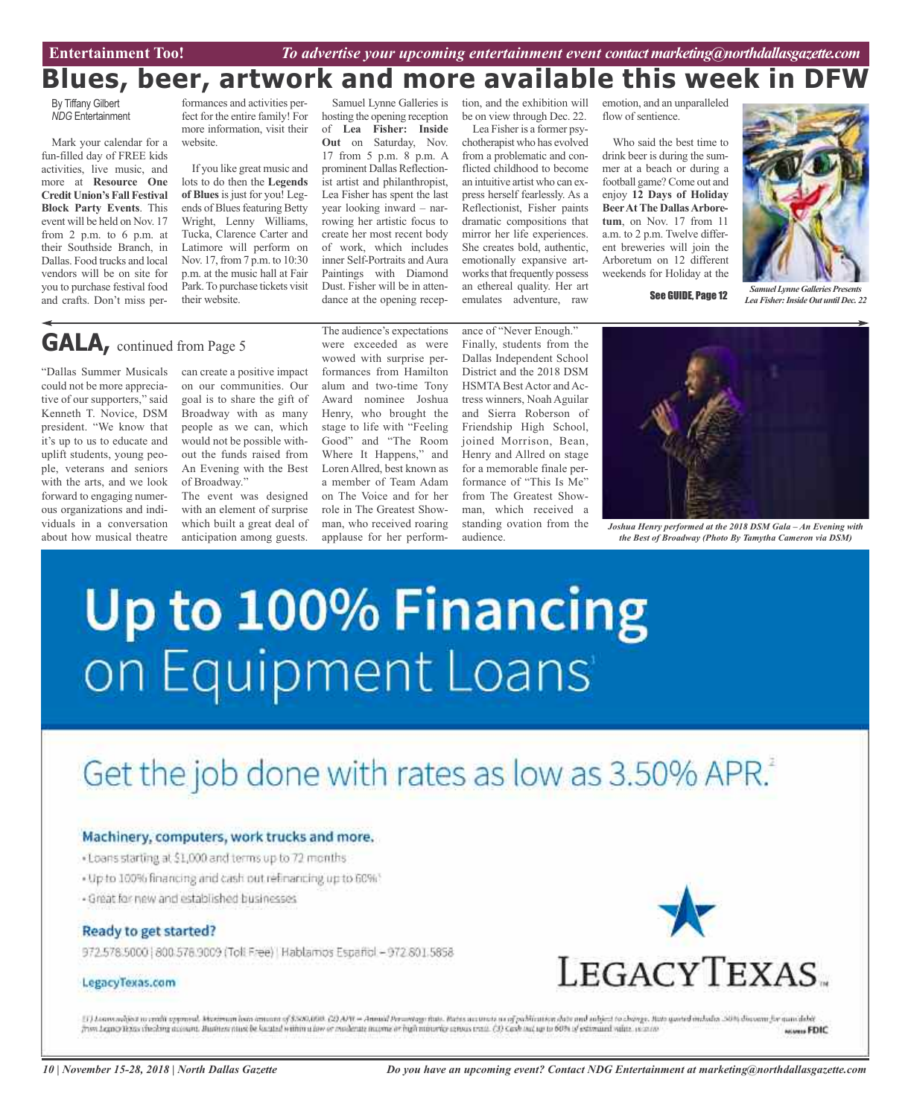### **Blues, beer, artwork and more available this week in DFW**

By Tiffany Gilbert *NDG* Entertainment

Mark your calendar for a fun-filled day of FREE kids activities, live music, and more at **Resource One Credit Union's Fall Festival Block Party Events**. This event will be held on Nov. 17 from 2 p.m. to 6 p.m. at their Southside Branch, in Dallas. Food trucks and local vendors will be on site for you to purchase festival food and crafts. Don't miss per-

formances and activities perfect for the entire family! For more information, visit their website.

If you like great music and lots to do then the **Legends of Blues**isjust for you! Legends of Blues featuring Betty Wright, Lenny Williams, Tucka, Clarence Carter and Latimore will perform on Nov. 17, from 7 p.m. to 10:30 p.m. at the music hall at Fair Park.To purchase tickets visit their website.

Samuel Lynne Galleries is hosting the opening reception of **Lea Fisher: Inside Out** on Saturday, Nov. 17 from 5 p.m. 8 p.m. A prominent Dallas Reflectionist artist and philanthropist, Lea Fisher has spent the last year looking inward – narrowing her artistic focus to create her most recent body of work, which includes inner Self-Portraits and Aura Paintings with Diamond Dust. Fisher will be in attendance at the opening reception, and the exhibition will be on view through Dec. 22. Lea Fisher is a former psychotherapist who has evolved from a problematic and con-

flicted childhood to become an intuitive artist who can express herself fearlessly. As a Reflectionist, Fisher paints dramatic compositions that mirror her life experiences. She creates bold, authentic, emotionally expansive artworks that frequently possess an ethereal quality. Her art emulates adventure, raw

emotion, and an unparalleled flow of sentience.

Who said the best time to drink beer is during the summer at a beach or during a football game?Come out and enjoy **12 Days of Holiday BeerAtThe DallasArboretum**, on Nov. 17 from 11 a.m. to 2 p.m. Twelve different breweries will join the Arboretum on 12 different weekends for Holiday at the



See GUIDE, Page 12

*LeaFisher:Inside Out until Dec. 22*

### **GALA,** continued from Page <sup>5</sup>

"Dallas Summer Musicals could not be more appreciative of our supporters," said Kenneth T. Novice, DSM president. "We know that it's up to us to educate and uplift students, young people, veterans and seniors with the arts, and we look forward to engaging numerous organizations and individuals in a conversation about how musical theatre

can create a positive impact on our communities. Our goal is to share the gift of Broadway with as many people as we can, which would not be possible without the funds raised from An Evening with the Best of Broadway."

The event was designed with an element of surprise which built a great deal of anticipation among guests.

The audience's expectations were exceeded as were wowed with surprise performances from Hamilton alum and two-time Tony Award nominee Joshua Henry, who brought the stage to life with "Feeling Good" and "The Room Where It Happens," and Loren Allred, best known as a member of Team Adam on The Voice and for her role in The Greatest Showman, who received roaring applause for her perform-

ance of "Never Enough." Finally, students from the Dallas Independent School District and the 2018 DSM HSMTA Best Actor and Actress winners, Noah Aguilar and Sierra Roberson of Friendship High School, joined Morrison, Bean, Henry and Allred on stage for a memorable finale performance of "This Is Me" from The Greatest Showman, which received a standing ovation from the audience.



*Joshua Henry performed at the 2018 DSM Gala – An Evening with the Best of Broadway (Photo By Tamytha Cameron via DSM)*

# Up to 100% Financing on Equipment Loans

## Get the job done with rates as low as 3.50% APR.

### Machinery, computers, work trucks and more,

- . Loans starting at \$1,000 and terms up to 72 months
- . Up to 100% financing and cash out refinancing up to 60%"
- Great for new and established businesses

#### Ready to get started?

972.578.5000 | 800.578.9009 (Toll Free) | Hablamos Español - 972.801.5858

#### LegacyTexas.com



[1] Loans adject to credit egeneral. Maximum loan impant of \$500,000. (2) APR = Annual Personage thats. Bates accurate us of publication date and subject to change. But quoted includes .50% discome for annual object (From Legne) Deals the story account. Business must be located within a low or moderate income or high minority across train. (3) Cash out up to 60% of estimated within account **MANUS FDIC**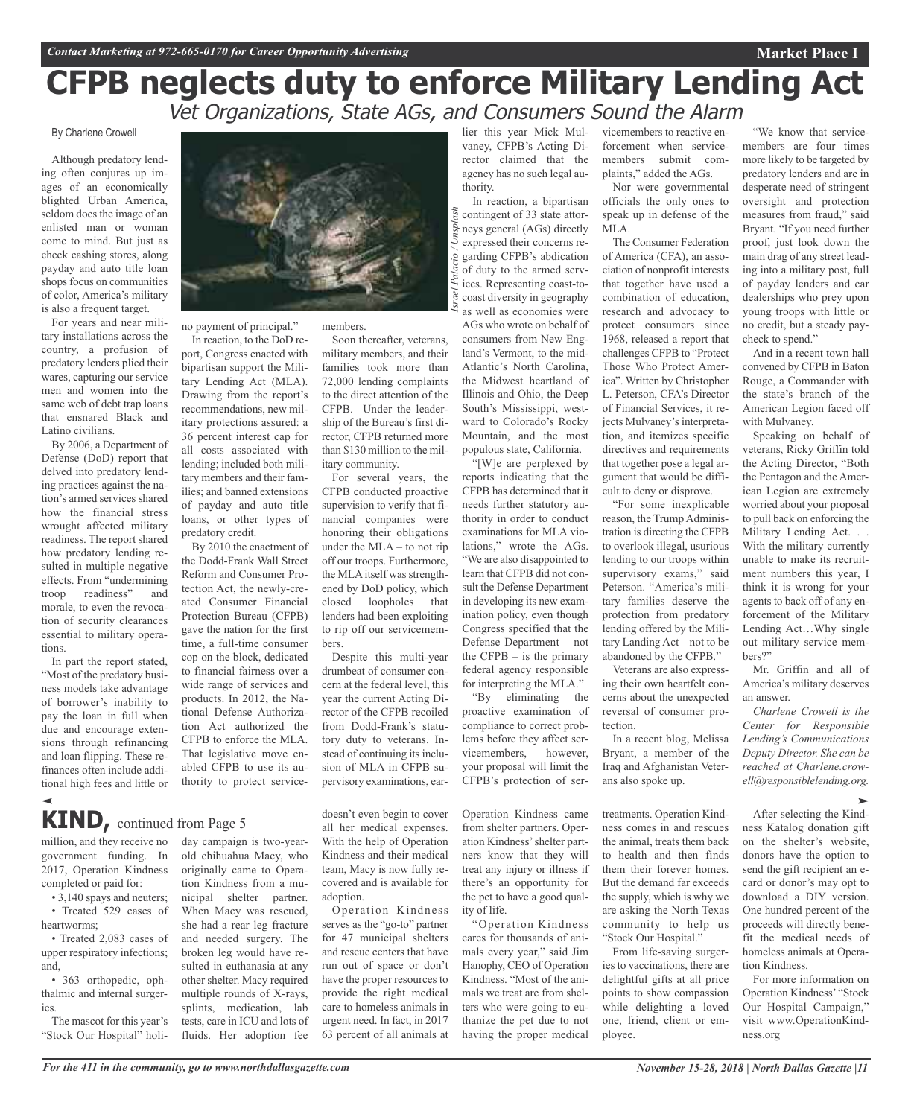### **CFPB neglects duty to enforce Military Lending Act** Vet Organizations, State AGs, and Consumers Sound the Alarm

*Israel Palacio / Unsplash*

### By Charlene Crowell

Although predatory lending often conjures up images of an economically blighted Urban America, seldom does the image of an enlisted man or woman come to mind. But just as check cashing stores, along payday and auto title loan shops focus on communities of color, America's military is also a frequent target.

For years and near military installations across the country, a profusion of predatory lenders plied their wares, capturing our service men and women into the same web of debt trap loans that ensnared Black and Latino civilians.

By 2006, a Department of Defense (DoD) report that delved into predatory lending practices against the nation's armed services shared how the financial stress wrought affected military readiness. The report shared how predatory lending resulted in multiple negative effects. From "undermining troop readiness" and morale, to even the revocation of security clearances essential to military operations.

In part the report stated, "Most of the predatory business models take advantage of borrower's inability to pay the loan in full when due and encourage extensions through refinancing and loan flipping. These refinances often include additional high fees and little or



no payment of principal."

In reaction, to the DoD report, Congress enacted with bipartisan support the Military Lending Act (MLA). Drawing from the report's recommendations, new military protections assured: a 36 percent interest cap for all costs associated with lending; included both military members and their families; and banned extensions of payday and auto title loans, or other types of predatory credit.

By 2010 the enactment of the Dodd-Frank Wall Street Reform and Consumer Protection Act, the newly-created Consumer Financial Protection Bureau (CFPB) gave the nation for the first time, a full-time consumer cop on the block, dedicated to financial fairness over a wide range of services and products. In 2012, the National Defense Authorization Act authorized the CFPB to enforce the MLA. That legislative move enabled CFPB to use its authority to protect servicemembers.

Soon thereafter, veterans, military members, and their families took more than 72,000 lending complaints to the direct attention of the CFPB. Under the leadership of the Bureau's first director, CFPB returned more than \$130 million to the military community.

For several years, the CFPB conducted proactive supervision to verify that financial companies were honoring their obligations under the MLA – to not rip off our troops. Furthermore, the MLA itself was strengthened by DoD policy, which closed loopholes that lenders had been exploiting to rip off our servicemembers.

Despite this multi-year drumbeat of consumer concern at the federal level, this year the current Acting Director of the CFPB recoiled from Dodd-Frank's statutory duty to veterans. Instead of continuing its inclusion of MLA in CFPB supervisory examinations, ear-

lier this year Mick Mulvaney, CFPB's Acting Director claimed that the agency has no such legal authority.

In reaction, a bipartisan contingent of 33 state attorneys general (AGs) directly expressed their concerns regarding CFPB's abdication of duty to the armed services. Representing coast-tocoast diversity in geography as well as economies were AGs who wrote on behalf of consumers from New England's Vermont, to the mid-Atlantic's North Carolina, the Midwest heartland of Illinois and Ohio, the Deep South's Mississippi, westward to Colorado's Rocky Mountain, and the most populous state, California.

"[W]e are perplexed by reports indicating that the CFPB has determined that it needs further statutory authority in order to conduct examinations for MLA violations," wrote the AGs. "We are also disappointed to learn that CFPB did not consult the Defense Department in developing its new examination policy, even though Congress specified that the Defense Department – not the CFPB  $-$  is the primary federal agency responsible for interpreting the MLA."

"By eliminating the proactive examination of compliance to correct problems before they affect servicemembers, however, your proposal will limit the CFPB's protection of servicemembers to reactive enforcement when servicemembers submit complaints," added the AGs. Nor were governmental

officials the only ones to speak up in defense of the MLA.

The Consumer Federation of America (CFA), an association of nonprofit interests that together have used a combination of education, research and advocacy to protect consumers since 1968, released a report that challenges CFPB to "Protect Those Who Protect America". Written by Christopher L. Peterson, CFA's Director of Financial Services, it rejects Mulvaney's interpretation, and itemizes specific directives and requirements that together pose a legal argument that would be difficult to deny or disprove.

"For some inexplicable reason, the Trump Administration is directing the CFPB to overlook illegal, usurious lending to our troops within supervisory exams," said Peterson. "America's military families deserve the protection from predatory lending offered by the Military Landing Act – not to be abandoned by the CFPB."

Veterans are also expressing their own heartfelt concerns about the unexpected reversal of consumer protection.

In a recent blog, Melissa Bryant, a member of the Iraq and Afghanistan Veterans also spoke up.

"We know that servicemembers are four times more likely to be targeted by predatory lenders and are in desperate need of stringent oversight and protection measures from fraud," said Bryant. "If you need further proof, just look down the main drag of any street leading into a military post, full of payday lenders and car dealerships who prey upon young troops with little or no credit, but a steady paycheck to spend."

**Market Place I**

And in a recent town hall convened by CFPB in Baton Rouge, a Commander with the state's branch of the American Legion faced off with Mulvaney.

Speaking on behalf of veterans, Ricky Griffin told the Acting Director, "Both the Pentagon and the American Legion are extremely worried about your proposal to pull back on enforcing the Military Lending Act. . .

With the military currently unable to make its recruitment numbers this year, I think it is wrong for your agents to back off of any enforcement of the Military Lending Act…Why single out military service members?"

Mr. Griffin and all of America's military deserves an answer.

*Charlene Crowell is the Center for Responsible Lending's Communications Deputy Director. She can be reached at Charlene.crowell@responsiblelending.org.*

### **KIND,** continued from Page <sup>5</sup>

million, and they receive no government funding. In 2017, Operation Kindness completed or paid for:

• 3,140 spays and neuters; • Treated 529 cases of heartworms;

• Treated 2,083 cases of upper respiratory infections; and,

• 363 orthopedic, ophthalmic and internal surgeries.

The mascot for this year's "Stock Our Hospital" holi-

day campaign is two-yearold chihuahua Macy, who originally came to Operation Kindness from a municipal shelter partner. When Macy was rescued, she had a rear leg fracture and needed surgery. The broken leg would have resulted in euthanasia at any other shelter. Macy required multiple rounds of X-rays, splints, medication, lab tests, care in ICU and lots of fluids. Her adoption fee

doesn't even begin to cover all her medical expenses. With the help of Operation Kindness and their medical team, Macy is now fully recovered and is available for adoption.

Operation Kindness serves as the "go-to" partner for 47 municipal shelters and rescue centers that have run out of space or don't have the proper resources to provide the right medical care to homeless animals in urgent need. In fact, in 2017 63 percent of all animals at

Operation Kindness came from shelter partners. Operation Kindness'shelter partners know that they will treat any injury or illness if there's an opportunity for the pet to have a good quality of life.

"Operation Kindness cares for thousands of animals every year," said Jim Hanophy, CEO of Operation Kindness. "Most of the animals we treat are from shelters who were going to euthanize the pet due to not having the proper medical

treatments. Operation Kindness comes in and rescues the animal, treats them back to health and then finds them their forever homes. But the demand far exceeds the supply, which is why we are asking the North Texas community to help us "Stock Our Hospital."

From life-saving surgeries to vaccinations, there are delightful gifts at all price points to show compassion while delighting a loved one, friend, client or employee.

After selecting the Kindness Katalog donation gift on the shelter's website, donors have the option to send the gift recipient an ecard or donor's may opt to download a DIY version. One hundred percent of the proceeds will directly benefit the medical needs of homeless animals at Operation Kindness.

For more information on Operation Kindness' "Stock Our Hospital Campaign," visit www.OperationKindness.org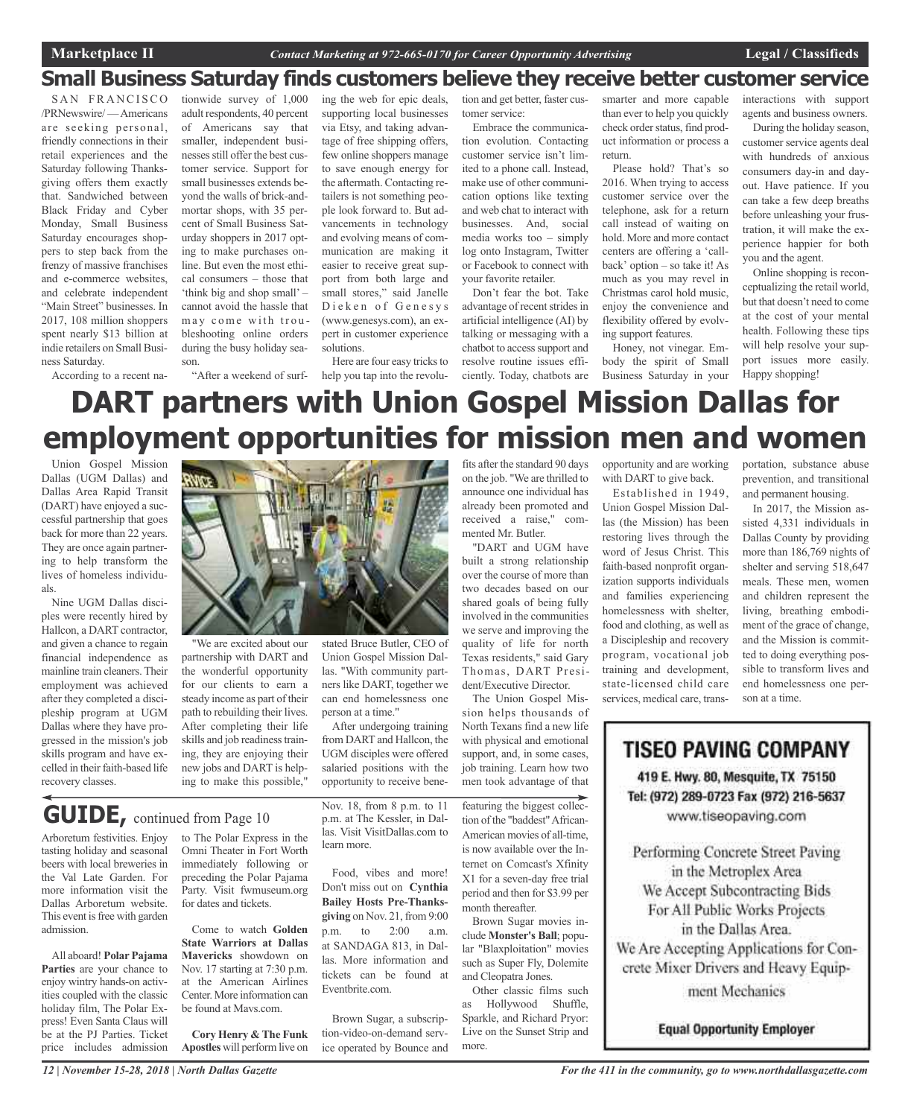### **Small Business Saturday finds customers believe they receive better customer service**

SAN FRANCISCO /PRNewswire/ —Americans are seeking personal, friendly connections in their retail experiences and the Saturday following Thanksgiving offers them exactly that. Sandwiched between Black Friday and Cyber Monday, Small Business Saturday encourages shoppers to step back from the frenzy of massive franchises and e-commerce websites, and celebrate independent "Main Street" businesses. In 2017, 108 million shoppers spent nearly \$13 billion at indie retailers on Small Business Saturday. According to a recent na-

tionwide survey of 1,000 adult respondents, 40 percent of Americans say that smaller, independent businesses still offer the best customer service. Support for small businesses extends beyond the walls of brick-andmortar shops, with 35 percent of Small Business Saturday shoppers in 2017 opting to make purchases online. But even the most ethical consumers – those that 'think big and shop small' – cannot avoid the hassle that may come with troubleshooting online orders during the busy holiday season.

ing the web for epic deals, supporting local businesses via Etsy, and taking advantage of free shipping offers, few online shoppers manage to save enough energy for the aftermath. Contacting retailers is not something people look forward to. But advancements in technology and evolving means of communication are making it easier to receive great support from both large and small stores," said Janelle Dieken of Genesys (www.genesys.com), an expert in customer experience solutions.

"After a weekend of surf-help you tap into the revolu-Here are four easy tricks to tion and get better, faster customer service:

Embrace the communication evolution. Contacting customer service isn't limited to a phone call. Instead, make use of other communication options like texting and web chat to interact with businesses. And, social media works too – simply log onto Instagram, Twitter or Facebook to connect with your favorite retailer.

Don't fear the bot. Take advantage of recent strides in artificial intelligence (AI) by talking or messaging with a chatbot to access support and resolve routine issues efficiently. Today, chatbots are

smarter and more capable than ever to help you quickly check order status, find product information or process a return.

Please hold? That's so 2016. When trying to access customer service over the telephone, ask for a return call instead of waiting on hold. More and more contact centers are offering a 'callback' option – so take it! As much as you may revel in Christmas carol hold music, enjoy the convenience and flexibility offered by evolving support features.

Honey, not vinegar. Embody the spirit of Small Business Saturday in your interactions with support agents and business owners.

During the holiday season, customer service agents deal with hundreds of anxious consumers day-in and dayout. Have patience. If you can take a few deep breaths before unleashing your frustration, it will make the experience happier for both you and the agent.

Online shopping is reconceptualizing the retail world, but that doesn't need to come at the cost of your mental health. Following these tips will help resolve your support issues more easily. Happy shopping!

## **DART partners with Union Gospel Mission Dallas for employment opportunities for mission men and women**

Union Gospel Mission Dallas (UGM Dallas) and Dallas Area Rapid Transit (DART) have enjoyed a successful partnership that goes back for more than 22 years. They are once again partnering to help transform the lives of homeless individuals.

Nine UGM Dallas disciples were recently hired by Hallcon, a DART contractor, and given a chance to regain financial independence as mainline train cleaners. Their employment was achieved after they completed a discipleship program at UGM Dallas where they have progressed in the mission's job skills program and have excelled in their faith-based life recovery classes.



partnership with DART and the wonderful opportunity for our clients to earn a steady income as part of their path to rebuilding their lives. After completing their life skills and job readiness training, they are enjoying their new jobs and DART is helping to make this possible,"

**GUIDE,** continued from Page <sup>10</sup>

Arboretum festivities. Enjoy tasting holiday and seasonal beers with local breweries in the Val Late Garden. For more information visit the Dallas Arboretum website. This event is free with garden admission.

All aboard! **Polar Pajama Parties** are your chance to enjoy wintry hands-on activities coupled with the classic holiday film, The Polar Express! Even Santa Claus will be at the PJ Parties. Ticket price includes admission to The Polar Express in the Omni Theater in Fort Worth immediately following or preceding the Polar Pajama Party. Visit fwmuseum.org for dates and tickets.

Come to watch **Golden State Warriors at Dallas Mavericks** showdown on Nov. 17 starting at 7:30 p.m. at the American Airlines Center. More information can be found at Mavs.com.

**Cory Henry & The Funk Apostles** will perform live on

Nov. 18, from 8 p.m. to 11 p.m. at The Kessler, in Dallas. Visit VisitDallas.com to learn more.

Union Gospel Mission Dallas. "With community partners like DART, together we can end homelessness one

After undergoing training from DART and Hallcon, the UGM disciples were offered salaried positions with the opportunity to receive bene-

person at a time."

Food, vibes and more! Don't miss out on **Cynthia Bailey Hosts Pre-Thanksgiving** on Nov. 21, from 9:00 p.m. to 2:00 a.m. at SANDAGA 813, in Dallas. More information and tickets can be found at Eventbrite.com.

Brown Sugar, a subscription-video-on-demand service operated by Bounce and

fits after the standard 90 days on the job. "We are thrilled to announce one individual has already been promoted and received a raise," commented Mr. Butler.

"DART and UGM have built a strong relationship over the course of more than two decades based on our shared goals of being fully involved in the communities we serve and improving the quality of life for north Texas residents," said Gary Thomas, DART President/Executive Director.

The Union Gospel Mission helps thousands of North Texans find a new life with physical and emotional support, and, in some cases, job training. Learn how two men took advantage of that

featuring the biggest collection of the "baddest"African-American movies of all-time, is now available over the Internet on Comcast's Xfinity X1 for a seven-day free trial period and then for \$3.99 per month thereafter.

Brown Sugar movies include **Monster's Ball**; popular "Blaxploitation" movies such as Super Fly, Dolemite and Cleopatra Jones.

Other classic films such as Hollywood Shuffle, Sparkle, and Richard Pryor: Live on the Sunset Strip and more.

opportunity and are working with DART to give back.

Established in 1949, Union Gospel Mission Dallas (the Mission) has been restoring lives through the word of Jesus Christ. This faith-based nonprofit organization supports individuals and families experiencing homelessness with shelter, food and clothing, as well as a Discipleship and recovery program, vocational job training and development, state-licensed child care services, medical care, transportation, substance abuse prevention, and transitional and permanent housing.

In 2017, the Mission assisted 4,331 individuals in Dallas County by providing more than 186,769 nights of shelter and serving 518,647 meals. These men, women and children represent the living, breathing embodiment of the grace of change, and the Mission is committed to doing everything possible to transform lives and end homelessness one person at a time.

**TISEO PAVING COMPANY** 

419 E. Hwy. 80, Mesquite, TX 75150 Tel: (972) 289-0723 Fax (972) 216-5637 www.tiseopaving.com

Performing Concrete Street Paving in the Metroplex Area We Accept Subcontracting Bids For All Public Works Projects in the Dallas Area. We Are Accepting Applications for Con-

crete Mixer Drivers and Heavy Equip-

ment Mechanics

**Equal Opportunity Employer**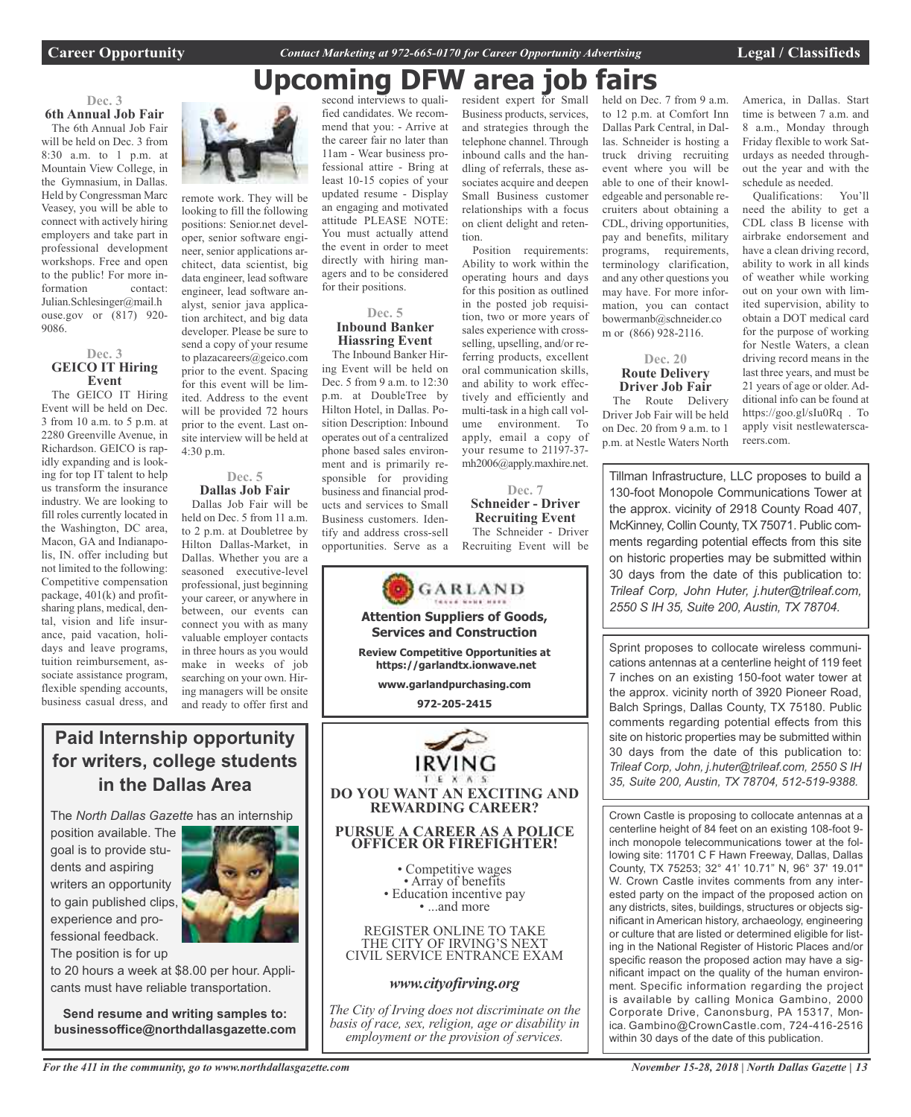**Career Opportunity** *Contact Marketing at 972-665-0170 for Career Opportunity Advertising* **Legal / Classifieds**

## **Upcoming DFW area job fairs**

tion.

selling, upselling, and/or referring products, excellent oral communication skills, and ability to work effectively and efficiently and multi-task in a high call volume environment. To apply, email a copy of your resume to 21197-37 mh2006@apply.maxhire.net.

**Dec. 7 Schneider - Driver Recruiting Event** The Schneider - Driver Recruiting Event will be

**Dec. 3**

**6th Annual Job Fair** The 6th Annual Job Fair will be held on Dec. 3 from 8:30 a.m. to 1 p.m. at Mountain View College, in the Gymnasium, in Dallas. Held by Congressman Marc Veasey, you will be able to connect with actively hiring employers and take part in professional development workshops. Free and open to the public! For more information contact: Julian.Schlesinger@mail.h ouse.gov or (817) 920- 9086.

#### **Dec. 3 GEICO IT Hiring Event**

The GEICO IT Hiring Event will be held on Dec. 3 from 10 a.m. to 5 p.m. at 2280 Greenville Avenue, in Richardson. GEICO is rapidly expanding and is looking for top IT talent to help us transform the insurance industry. We are looking to fill roles currently located in the Washington, DC area, Macon, GA and Indianapolis, IN. offer including but not limited to the following: Competitive compensation package, 401(k) and profitsharing plans, medical, dental, vision and life insurance, paid vacation, holidays and leave programs, tuition reimbursement, associate assistance program, flexible spending accounts, business casual dress, and



remote work. They will be looking to fill the following positions: Senior.net developer, senior software engineer, senior applications architect, data scientist, big data engineer, lead software engineer, lead software analyst, senior java application architect, and big data developer. Please be sure to send a copy of your resume to plazacareers@geico.com prior to the event. Spacing for this event will be limited. Address to the event will be provided 72 hours prior to the event. Last onsite interview will be held at 4:30 p.m.

#### **Dec. 5 Dallas Job Fair**

Dallas Job Fair will be held on Dec. 5 from 11 a.m. to 2 p.m. at Doubletree by Hilton Dallas-Market, in Dallas. Whether you are a seasoned executive-level professional, just beginning your career, or anywhere in between, our events can connect you with as many valuable employer contacts in three hours as you would make in weeks of job searching on your own. Hiring managers will be onsite and ready to offer first and

### **Paid Internship opportunity for writers, college students in the Dallas Area**

The *North Dallas Gazette* has an internship

position available. The goal is to provide students and aspiring writers an opportunity to gain published clips, experience and professional feedback.

The position is for up

to 20 hours a week at \$8.00 per hour. Applicants must have reliable transportation.

**Send resume and writing samples to: businessoffice@northdallasgazette.com**

second interviews to qualified candidates. We recommend that you: - Arrive at the career fair no later than 11am - Wear business professional attire - Bring at least 10-15 copies of your updated resume - Display an engaging and motivated attitude PLEASE NOTE: You must actually attend the event in order to meet directly with hiring managers and to be considered for their positions.

#### **Dec. 5 Inbound Banker Hiassring Event**

The Inbound Banker Hiring Event will be held on Dec. 5 from 9 a.m. to 12:30 p.m. at DoubleTree by Hilton Hotel, in Dallas. Position Description: Inbound operates out of a centralized phone based sales environment and is primarily responsible for providing business and financial products and services to Small Business customers. Identify and address cross-sell opportunities. Serve as a



resident expert for Small held on Dec. 7 from 9 a.m. Business products, services, and strategies through the telephone channel. Through inbound calls and the handling of referrals, these associates acquire and deepen Small Business customer relationships with a focus on client delight and reten-Position requirements: Ability to work within the operating hours and days for this position as outlined in the posted job requisition, two or more years of sales experience with crossto 12 p.m. at Comfort Inn Dallas Park Central, in Dallas. Schneider is hosting a truck driving recruiting event where you will be able to one of their knowledgeable and personable recruiters about obtaining a CDL, driving opportunities, pay and benefits, military programs, requirements, terminology clarification, and any other questions you may have. For more information, you can contact bowermanb@schneider.co

#### **Dec. 20 Route Delivery Driver Job Fair**

m or (866) 928-2116.

The Route Delivery Driver Job Fair will be held on Dec. 20 from 9 a.m. to 1 p.m. at Nestle Waters North America, in Dallas. Start time is between 7 a.m. and 8 a.m., Monday through Friday flexible to work Saturdays as needed throughout the year and with the schedule as needed.

Qualifications: You'll need the ability to get a CDL class B license with airbrake endorsement and have a clean driving record, ability to work in all kinds of weather while working out on your own with limited supervision, ability to obtain a DOT medical card for the purpose of working for Nestle Waters, a clean driving record means in the last three years, and must be 21 years of age or older. Additional info can be found at https://goo.gl/sIu0Rq . To apply visit nestlewaterscareers.com.

Tillman Infrastructure, LLC proposes to build a 130-foot Monopole Communications Tower at the approx. vicinity of 2918 County Road 407, McKinney, Collin County, TX 75071. Public comments regarding potential effects from this site on historic properties may be submitted within 30 days from the date of this publication to: *Trileaf Corp, John Huter, j.huter@trileaf.com, 2550 S IH 35, Suite 200, Austin, TX 78704.*

Sprint proposes to collocate wireless communications antennas at a centerline height of 119 feet 7 inches on an existing 150-foot water tower at the approx. vicinity north of 3920 Pioneer Road, Balch Springs, Dallas County, TX 75180. Public comments regarding potential effects from this site on historic properties may be submitted within 30 days from the date of this publication to: *Trileaf Corp, John, j.huter@trileaf.com, 2550 S IH 35, Suite 200, Austin, TX 78704, 512-519-9388.*

Crown Castle is proposing to collocate antennas at a centerline height of 84 feet on an existing 108-foot 9 inch monopole telecommunications tower at the following site: 11701 C F Hawn Freeway, Dallas, Dallas County, TX 75253; 32° 41' 10.71" N, 96° 37' 19.01" W. Crown Castle invites comments from any interested party on the impact of the proposed action on any districts, sites, buildings, structures or objects significant in American history, archaeology, engineering or culture that are listed or determined eligible for listing in the National Register of Historic Places and/or specific reason the proposed action may have a significant impact on the quality of the human environment. Specific information regarding the project is available by calling Monica Gambino, 2000 Corporate Drive, Canonsburg, PA 15317, Monica. Gambino@CrownCastle.com, 724-416-2516 within 30 days of the date of this publication.

*For the 411 in the community, go to www.northdallasgazette.com*

*November 15-28, 2018 | North Dallas Gazette | 13*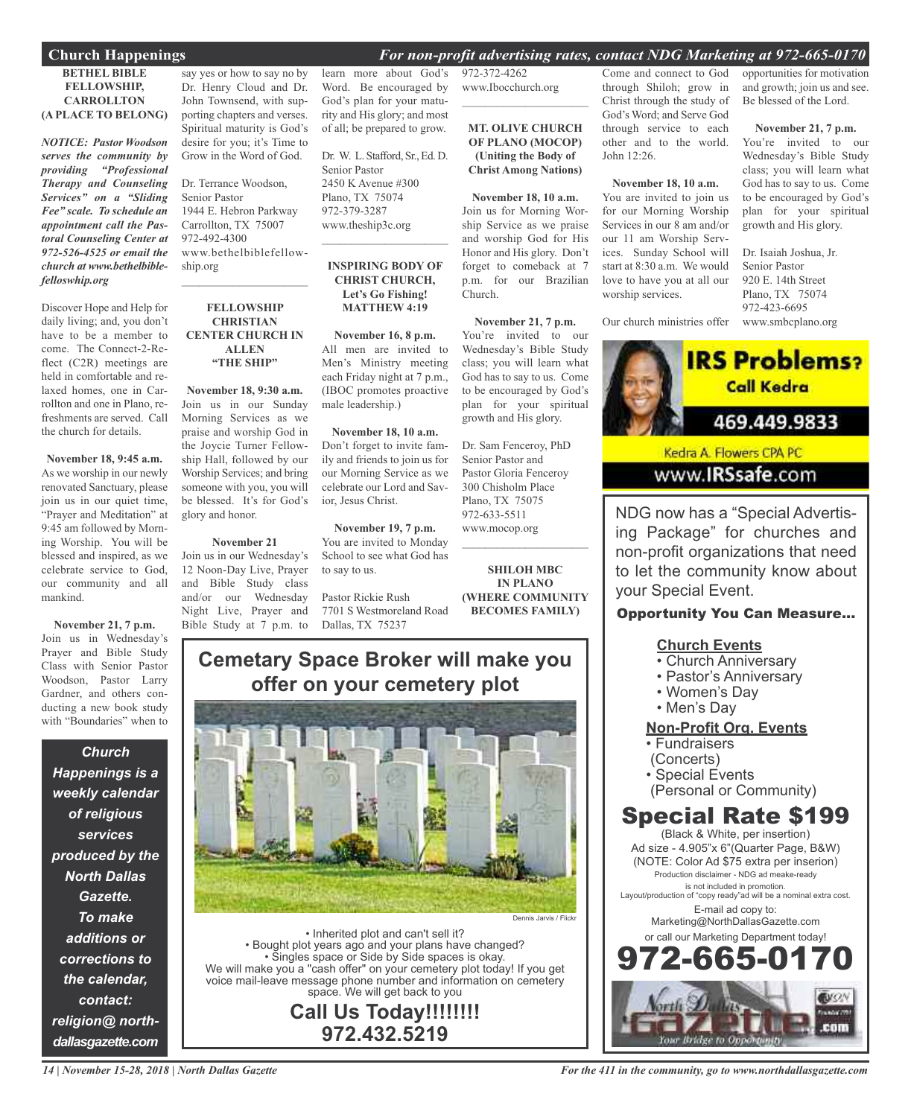### **Church Happenings** *For non-profit advertising rates, contact NDG Marketing at 972-665-0170*

#### **BETHEL BIBLE FELLOWSHIP, CARROLLTON (A PLACE TO BELONG)**

*NOTICE: Pastor Woodson serves the community by providing "Professional Therapy and Counseling Services" on a "Sliding Fee" scale. To schedule an appointment call the Pastoral Counseling Center at 972-526-4525 or email the church at www.bethelbiblefelloswhip.org*

Discover Hope and Help for daily living; and, you don't have to be a member to come. The Connect-2-Reflect (C2R) meetings are held in comfortable and relaxed homes, one in Carrollton and one in Plano, refreshments are served. Call the church for details.

**November 18, 9:45 a.m.** As we worship in our newly renovated Sanctuary, please join us in our quiet time, "Prayer and Meditation" at 9:45 am followed by Morning Worship. You will be blessed and inspired, as we celebrate service to God, our community and all mankind.

**November 21, 7 p.m.** Join us in Wednesday's Prayer and Bible Study Class with Senior Pastor Woodson, Pastor Larry Gardner, and others conducting a new book study with "Boundaries" when to

*Church*

*Happenings is a weekly calendar of religious services produced by the North Dallas Gazette. To make additions or corrections to the calendar, contact: religion@ northdallasgazette.com*

say yes or how to say no by Dr. Henry Cloud and Dr. John Townsend, with supporting chapters and verses. Spiritual maturity is God's desire for you; it's Time to Grow in the Word of God.

Dr. Terrance Woodson, Senior Pastor 1944 E. Hebron Parkway Carrollton, TX 75007 972-492-4300 www.bethelbiblefellowship.org  $\overline{\phantom{a}}$  , and the set of the set of the set of the set of the set of the set of the set of the set of the set of the set of the set of the set of the set of the set of the set of the set of the set of the set of the s

#### **FELLOWSHIP CHRISTIAN CENTER CHURCH IN ALLEN "THE SHIP"**

**November 18, 9:30 a.m.** Join us in our Sunday Morning Services as we praise and worship God in the Joycie Turner Fellowship Hall, followed by our Worship Services; and bring someone with you, you will be blessed. It's for God's glory and honor.

### **November 21**

Join us in our Wednesday's 12 Noon-Day Live, Prayer and Bible Study class and/or our Wednesday Night Live, Prayer and Bible Study at 7 p.m. to learn more about God's Word. Be encouraged by God's plan for your maturity and His glory; and most of all; be prepared to grow.

Dr. W. L. Stafford, Sr., Ed. D. Senior Pastor 2450 K Avenue #300 Plano, TX 75074 972-379-3287 www.theship3c.org

#### **INSPIRING BODY OF CHRIST CHURCH, Let's Go Fishing! MATTHEW 4:19**

 $\overline{\phantom{a}}$  , and the set of the set of the set of the set of the set of the set of the set of the set of the set of the set of the set of the set of the set of the set of the set of the set of the set of the set of the s

**November 16, 8 p.m.** All men are invited to Men's Ministry meeting each Friday night at 7 p.m., (IBOC promotes proactive male leadership.)

**November 18, 10 a.m.** Don't forget to invite family and friends to join us for our Morning Service as we celebrate our Lord and Savior, Jesus Christ.

**November 19, 7 p.m.** You are invited to Monday School to see what God has to say to us.

Pastor Rickie Rush 7701 S Westmoreland Road Dallas, TX 75237

972-372-4262 www.Ibocchurch.org  $\mathcal{L}$  , and the set of the set of the set of the set of the set of the set of the set of the set of the set of the set of the set of the set of the set of the set of the set of the set of the set of the set of the set

**MT. OLIVE CHURCH OF PLANO (MOCOP) (Uniting the Body of Christ Among Nations)**

**November 18, 10 a.m.** Join us for Morning Worship Service as we praise and worship God for His Honor and His glory. Don't forget to comeback at 7 p.m. for our Brazilian Church.

**November 21, 7 p.m.** You're invited to our Wednesday's Bible Study class; you will learn what God has to say to us. Come to be encouraged by God's plan for your spiritual growth and His glory.

Dr. Sam Fenceroy, PhD Senior Pastor and Pastor Gloria Fenceroy 300 Chisholm Place Plano, TX 75075 972-633-5511 www.mocop.org

**SHILOH MBC IN PLANO (WHERE COMMUNITY BECOMES FAMILY)**

 $\mathcal{L}$  , and the set of the set of the set of the set of the set of the set of the set of the set of the set of the set of the set of the set of the set of the set of the set of the set of the set of the set of the set

### **Cemetary Space Broker will make you offer on your cemetery plot**



• Inherited plot and can't sell it? • Bought plot years ago and your plans have changed? • Singles space or Side by Side spaces is okay. We will make you a "cash offer" on your cemetery plot today! If you get voice mail-leave message phone number and information on cemetery space. We will get back to you

**Call Us Today!!!!!!!! 972.432.5219**

Come and connect to God through Shiloh; grow in Christ through the study of God's Word; and Serve God through service to each other and to the world. John 12:26.

**November 18, 10 a.m.** You are invited to join us for our Morning Worship Services in our 8 am and/or our 11 am Worship Services. Sunday School will start at 8:30 a.m. We would love to have you at all our worship services.

opportunities for motivation and growth; join us and see. Be blessed of the Lord.

**November 21, 7 p.m.** You're invited to our Wednesday's Bible Study class; you will learn what God has to say to us. Come to be encouraged by God's plan for your spiritual growth and His glory.

Our church ministries offer www.smbcplano.org Dr. Isaiah Joshua, Jr. Senior Pastor 920 E. 14th Street Plano, TX 75074 972-423-6695



Kedra A. Flowers CPA PC www.**IRSsafe**.com

NDG now has a "Special Advertising Package" for churches and non-profit organizations that need to let the community know about your Special Event.

### Opportunity You Can Measure...

### **Church Events**

- Church Anniversary
- Pastor's Anniversary
- Women's Day
- Men's Day

### **Non-Profit Org. Events**

- Fundraisers
- (Concerts)
- Special Events
- (Personal or Community)

### Special Rate \$199

(Black & White, per insertion) Ad size - 4.905"x 6"(Quarter Page, B&W) (NOTE: Color Ad \$75 extra per inserion) Production disclaimer - NDG ad meake-ready is not included in promotion. Layout/production of "copy ready"ad will be a nominal extra cost. E-mail ad copy to: Marketing@NorthDallasGazette.com or call our Marketing Department today! 972-665-0170

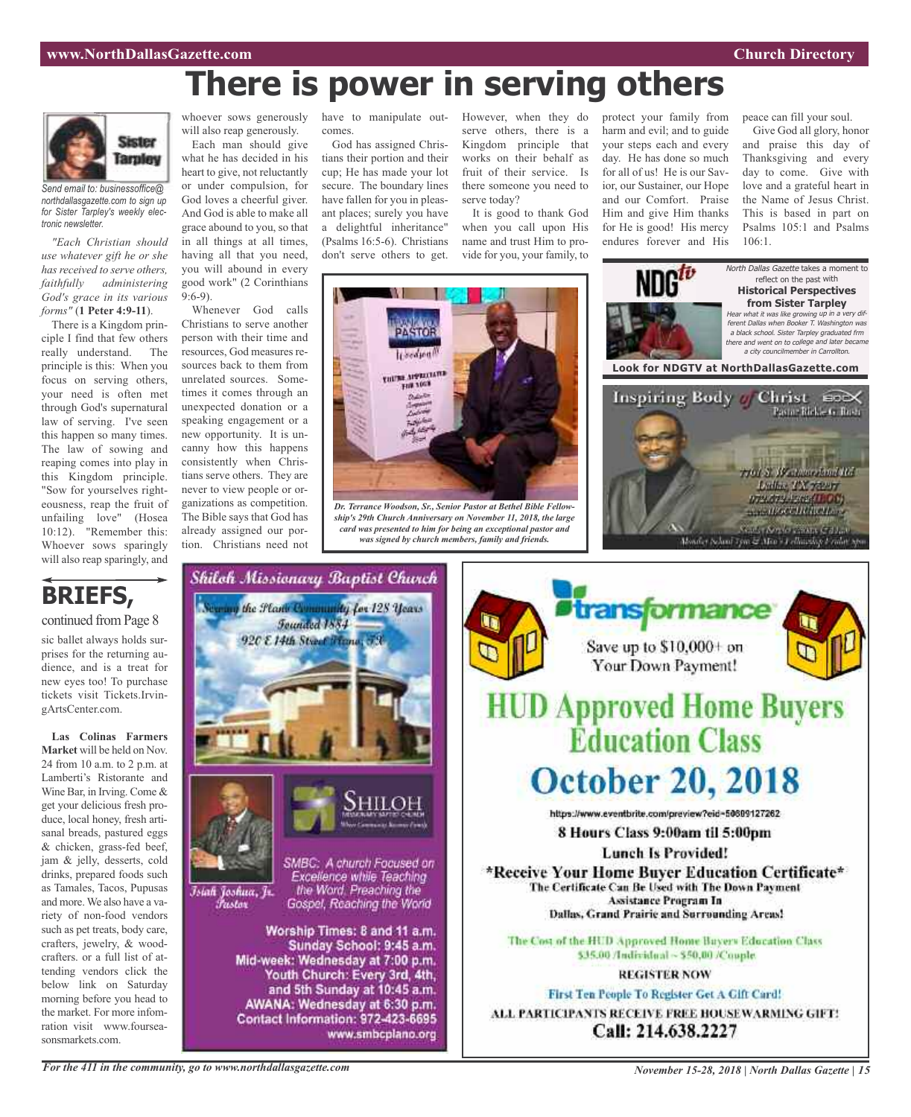## **There is power in serving others**



*Send email to: businessoffice@ northdallasgazette.com to sign up for Sister Tarpley's weekly electronic newsletter.*

*"Each Christian should use whatever gift he or she has received to serve others, faithfully administering God's grace in its various forms"* (**1 Peter 4:9-11**).

There is a Kingdom principle I find that few others really understand. The principle is this: When you focus on serving others, your need is often met through God's supernatural law of serving. I've seen this happen so many times. The law of sowing and reaping comes into play in this Kingdom principle. "Sow for yourselves righteousness, reap the fruit of unfailing love" (Hosea 10:12). "Remember this: Whoever sows sparingly will also reap sparingly, and

will also reap generously. Each man should give

what he has decided in his heart to give, not reluctantly or under compulsion, for God loves a cheerful giver. And God is able to make all grace abound to you, so that in all things at all times, having all that you need,

you will abound in every good work" (2 Corinthians  $9.6 - 9$ Whenever God calls

Christians to serve another person with their time and resources, God measures resources back to them from unrelated sources. Sometimes it comes through an unexpected donation or a speaking engagement or a new opportunity. It is uncanny how this happens consistently when Christians serve others. They are never to view people or organizations as competition. The Bible says that God has already assigned our portion. Christians need not

comes.

God has assigned Christians their portion and their cup; He has made your lot secure. The boundary lines have fallen for you in pleasant places; surely you have a delightful inheritance" (Psalms 16:5-6). Christians don't serve others to get.

serve others, there is a Kingdom principle that works on their behalf as fruit of their service. Is there someone you need to serve today?

It is good to thank God when you call upon His name and trust Him to provide for you, your family, to

whoever sows generously have to manipulate out- However, when they do protect your family from harm and evil; and to guide your steps each and every day. He has done so much for all of us! He is our Savior, our Sustainer, our Hope and our Comfort. Praise Him and give Him thanks for He is good! His mercy endures forever and His

peace can fill your soul.

Give God all glory, honor and praise this day of Thanksgiving and every day to come. Give with love and a grateful heart in the Name of Jesus Christ. This is based in part on Psalms 105:1 and Psalms  $106 \cdot 1$ 

North Dallas Gazette takes a moment to



*ship's 29th Church Anniversary on November 11, 2018, the large card was presented to him for being an exceptional pastor and was signed by church members, family and friends.*



### **BRIEFS,** continued from Page 8

sic ballet always holds surprises for the returning audience, and is a treat for new eyes too! To purchase tickets visit Tickets.IrvingArtsCenter.com.

**Las Colinas Farmers Market** will be held on Nov. 24 from 10 a.m. to 2 p.m. at Lamberti's Ristorante and Wine Bar, in Irving. Come & get your delicious fresh produce, local honey, fresh artisanal breads, pastured eggs & chicken, grass-fed beef, jam & jelly, desserts, cold drinks, prepared foods such as Tamales, Tacos, Pupusas and more. We also have a variety of non-food vendors such as pet treats, body care, crafters, jewelry, & woodcrafters. or a full list of attending vendors click the below link on Saturday morning before you head to the market. For more infomration visit www.fourseasonsmarkets.com.





*For the 411 in the community, go to www.northdallasgazette.com*

*November 15-28, 2018 | North Dallas Gazette | 15*